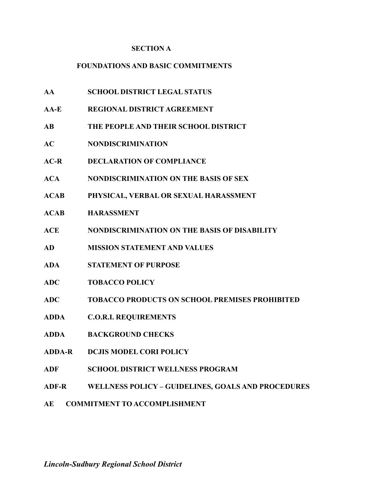### **SECTION A**

### **FOUNDATIONS AND BASIC COMMITMENTS**

- **AA SCHOOL DISTRICT LEGAL STATUS**
- **AA-E REGIONAL DISTRICT AGREEMENT**
- **AB THE PEOPLE AND THEIR SCHOOL DISTRICT**
- **AC NONDISCRIMINATION**
- **AC-R DECLARATION OF COMPLIANCE**
- **ACA NONDISCRIMINATION ON THE BASIS OF SEX**
- **ACAB PHYSICAL, VERBAL OR SEXUAL HARASSMENT**
- **ACAB HARASSMENT**
- **ACE NONDISCRIMINATION ON THE BASIS OF DISABILITY**
- **AD MISSION STATEMENT AND VALUES**
- **ADA STATEMENT OF PURPOSE**
- **ADC TOBACCO POLICY**
- **ADC TOBACCO PRODUCTS ON SCHOOL PREMISES PROHIBITED**
- **ADDA C.O.R.I. REQUIREMENTS**
- **ADDA BACKGROUND CHECKS**
- **ADDA-R DCJIS MODEL CORI POLICY**
- **ADF SCHOOL DISTRICT WELLNESS PROGRAM**
- **ADF-R WELLNESS POLICY GUIDELINES, GOALS AND PROCEDURES**
- **AE COMMITMENT TO ACCOMPLISHMENT**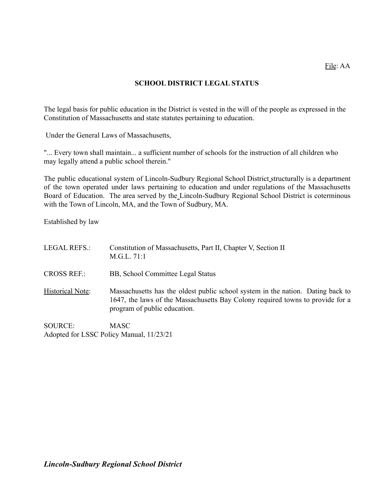## **SCHOOL DISTRICT LEGAL STATUS**

The legal basis for public education in the District is vested in the will of the people as expressed in the Constitution of Massachusetts and state statutes pertaining to education.

Under the General Laws of Massachusetts,

"... Every town shall maintain... a sufficient number of schools for the instruction of all children who may legally attend a public school therein."

The public educational system of Lincoln-Sudbury Regional School District structurally is a department of the town operated under laws pertaining to education and under regulations of the Massachusetts Board of Education. The area served by the Lincoln-Sudbury Regional School District is coterminous with the Town of Lincoln, MA, and the Town of Sudbury, MA.

Established by law

| <b>LEGAL REFS.:</b>     | Constitution of Massachusetts, Part II, Chapter V, Section II<br>M.G.L. 71:1                                                                                                                      |
|-------------------------|---------------------------------------------------------------------------------------------------------------------------------------------------------------------------------------------------|
| <b>CROSS REF.:</b>      | BB, School Committee Legal Status                                                                                                                                                                 |
| <b>Historical Note:</b> | Massachusetts has the oldest public school system in the nation. Dating back to<br>1647, the laws of the Massachusetts Bay Colony required towns to provide for a<br>program of public education. |
| SOURCE:                 | <b>MASC</b>                                                                                                                                                                                       |

Adopted for LSSC Policy Manual, 11/23/21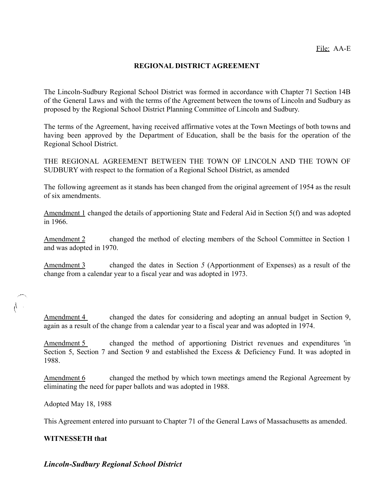### **REGIONAL DISTRICT AGREEMENT**

The Lincoln-Sudbury Regional School District was formed in accordance with Chapter 71 Section 14B of the General Laws and with the terms of the Agreement between the towns of Lincoln and Sudbury as proposed by the Regional School District Planning Committee of Lincoln and Sudbury.

The terms of the Agreement, having received affirmative votes at the Town Meetings of both towns and having been approved by the Department of Education, shall be the basis for the operation of the Regional School District.

THE REGIONAL AGREEMENT BETWEEN THE TOWN OF LINCOLN AND THE TOWN OF SUDBURY with respect to the formation of a Regional School District, as amended

The following agreement as it stands has been changed from the original agreement of 1954 as the result of six amendments.

Amendment 1 changed the details of apportioning State and Federal Aid in Section 5(f) and was adopted in 1966.

Amendment 2 changed the method of electing members of the School Committee in Section 1 and was adopted in 1970.

Amendment 3 changed the dates in Section 5 (Apportionment of Expenses) as a result of the change from a calendar year to a fiscal year and was adopted in 1973.

Amendment 4 changed the dates for considering and adopting an annual budget in Section 9, again as a result of the change from a calendar year to a fiscal year and was adopted in 1974.

Amendment 5 changed the method of apportioning District revenues and expenditures 'in Section 5, Section 7 and Section 9 and established the Excess & Deficiency Fund. It was adopted in 1988.

Amendment 6 changed the method by which town meetings amend the Regional Agreement by eliminating the need for paper ballots and was adopted in 1988.

Adopted May 18, 1988

Å . .

This Agreement entered into pursuant to Chapter 71 of the General Laws of Massachusetts as amended.

### **WITNESSETH that**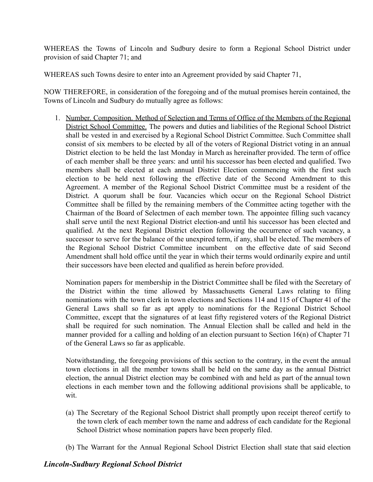WHEREAS the Towns of Lincoln and Sudbury desire to form a Regional School District under provision of said Chapter 71; and

WHEREAS such Towns desire to enter into an Agreement provided by said Chapter 71,

NOW THEREFORE, in consideration of the foregoing and of the mutual promises herein contained, the Towns of Lincoln and Sudbury do mutually agree as follows:

1. Number. Composition. Method of Selection and Terms of Office of the Members of the Regional District School Committee. The powers and duties and liabilities of the Regional School District shall be vested in and exercised by a Regional School District Committee. Such Committee shall consist of six members to be elected by all of the voters of Regional District voting in an annual District election to be held the last Monday in March as hereinafter provided. The term of office of each member shall be three years: and until his successor has been elected and qualified. Two members shall be elected at each annual District Election commencing with the first such election to be held next following the effective date of the Second Amendment to this Agreement. A member of the Regional School District Committee must be a resident of the District. A quorum shall be four. Vacancies which occur on the Regional School District Committee shall be filled by the remaining members of the Committee acting together with the Chairman of the Board of Selectmen of each member town. The appointee filling such vacancy shall serve until the next Regional District election-and until his successor has been elected and qualified. At the next Regional District election following the occurrence of such vacancy, a successor to serve for the balance of the unexpired term, if any, shall be elected. The members of the Regional School District Committee incumbent on the effective date of said Second Amendment shall hold office until the year in which their terms would ordinarily expire and until their successors have been elected and qualified as herein before provided.

Nomination papers for membership in the District Committee shall be filed with the Secretary of the District within the time allowed by Massachusetts General Laws relating to filing nominations with the town clerk in town elections and Sections 114 and 115 of Chapter 41 of the General Laws shall so far as apt apply to nominations for the Regional District School Committee, except that the signatures of at least fifty registered voters of the Regional District shall be required for such nomination. The Annual Election shall be called and held in the manner provided for a calling and holding of an election pursuant to Section 16(n) of Chapter 71 of the General Laws so far as applicable.

Notwithstanding, the foregoing provisions of this section to the contrary, in the event the annual town elections in all the member towns shall be held on the same day as the annual District election, the annual District election may be combined with and held as part of the annual town elections in each member town and the following additional provisions shall be applicable, to wit.

- (a) The Secretary of the Regional School District shall promptly upon receipt thereof certify to the town clerk of each member town the name and address of each candidate for the Regional School District whose nomination papers have been properly filed.
- (b) The Warrant for the Annual Regional School District Election shall state that said election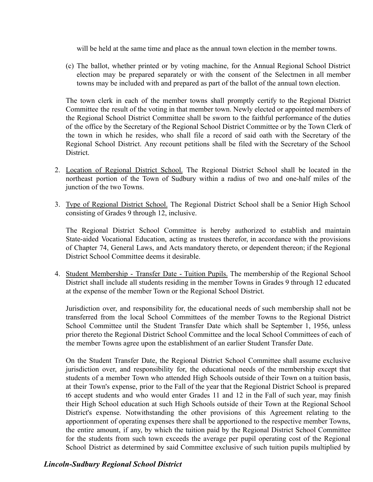will be held at the same time and place as the annual town election in the member towns.

(c) The ballot, whether printed or by voting machine, for the Annual Regional School District election may be prepared separately or with the consent of the Selectmen in all member towns may be included with and prepared as part of the ballot of the annual town election.

The town clerk in each of the member towns shall promptly certify to the Regional District Committee the result of the voting in that member town. Newly elected or appointed members of the Regional School District Committee shall be sworn to the faithful performance of the duties of the office by the Secretary of the Regional School District Committee or by the Town Clerk of the town in which he resides, who shall file a record of said oath with the Secretary of the Regional School District. Any recount petitions shall be filed with the Secretary of the School **District** 

- 2. Location of Regional District School. The Regional District School shall be located in the northeast portion of the Town of Sudbury within a radius of two and one-half miles of the junction of the two Towns.
- 3. Type of Regional District School. The Regional District School shall be a Senior High School consisting of Grades 9 through 12, inclusive.

The Regional District School Committee is hereby authorized to establish and maintain State-aided Vocational Education, acting as trustees therefor, in accordance with the provisions of Chapter 74, General Laws, and Acts mandatory thereto, or dependent thereon; if the Regional District School Committee deems it desirable.

4. Student Membership - Transfer Date - Tuition Pupils. The membership of the Regional School District shall include all students residing in the member Towns in Grades 9 through 12 educated at the expense of the member Town or the Regional School District.

Jurisdiction over, and responsibility for, the educational needs of such membership shall not be transferred from the local School Committees of the member Towns to the Regional District School Committee until the Student Transfer Date which shall be September 1, 1956, unless prior thereto the Regional District School Committee and the local School Committees of each of the member Towns agree upon the establishment of an earlier Student Transfer Date.

On the Student Transfer Date, the Regional District School Committee shall assume exclusive jurisdiction over, and responsibility for, the educational needs of the membership except that students of a member Town who attended High Schools outside of their Town on a tuition basis, at their Town's expense, prior to the Fall of the year that the Regional District School is prepared t6 accept students and who would enter Grades 11 and 12 in the Fall of such year, may finish their High School education at such High Schools outside of their Town at the Regional School District's expense. Notwithstanding the other provisions of this Agreement relating to the apportionment of operating expenses there shall be apportioned to the respective member Towns, the entire amount, if any, by which the tuition paid by the Regional District School Committee for the students from such town exceeds the average per pupil operating cost of the Regional School District as determined by said Committee exclusive of such tuition pupils multiplied by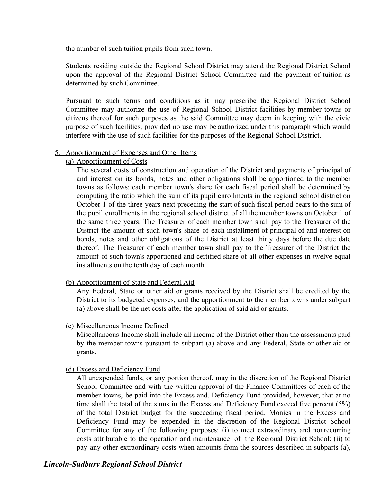the number of such tuition pupils from such town.

Students residing outside the Regional School District may attend the Regional District School upon the approval of the Regional District School Committee and the payment of tuition as determined by such Committee.

Pursuant to such terms and conditions as it may prescribe the Regional District School Committee may authorize the use of Regional School District facilities by member towns or citizens thereof for such purposes as the said Committee may deem in keeping with the civic purpose of such facilities, provided no use may be authorized under this paragraph which would interfere with the use of such facilities for the purposes of the Regional School District.

#### 5. Apportionment of Expenses and Other Items

## (a) Apportionment of Costs

The several costs of construction and operation of the District and payments of principal of and interest on its bonds, notes and other obligations shall be apportioned to the member towns as follows:·each member town's share for each fiscal period shall be determined by computing the ratio which the sum of its pupil enrollments in the regional school district on October 1 of the three years next preceding the start of such fiscal period bears to the sum of the pupil enrollments in the regional school district of all the member towns on October 1 of the same three years. The Treasurer of each member town shall pay to the Treasurer of the District the amount of such town's share of each installment of principal of and interest on bonds, notes and other obligations of the District at least thirty days before the due date thereof. The Treasurer of each member town shall pay to the Treasurer of the District the amount of such town's apportioned and certified share of all other expenses in twelve equal installments on the tenth day of each month.

#### (b) Apportionment of State and Federal Aid

Any Federal, State or other aid or grants received by the District shall be credited by the District to its budgeted expenses, and the apportionment to the member towns under subpart (a) above shall be the net costs after the application of said aid or grants.

#### (c) Miscellaneous Income Defined

Miscellaneous Income shall include all income of the District other than the assessments paid by the member towns pursuant to subpart (a) above and any Federal, State or other aid or grants.

#### (d) Excess and Deficiency Fund

All unexpended funds, or any portion thereof, may in the discretion of the Regional District School Committee and with the written approval of the Finance Committees of each of the member towns, be paid into the Excess and. Deficiency Fund provided, however, that at no time shall the total of the sums in the Excess and Deficiency Fund exceed five percent (5%) of the total District budget for the succeeding fiscal period. Monies in the Excess and Deficiency Fund may be expended in the discretion of the Regional District School Committee for any of the following purposes: (i) to meet extraordinary and nonrecurring costs attributable to the operation and maintenance of the Regional District School; (ii) to pay any other extraordinary costs when amounts from the sources described in subparts (a),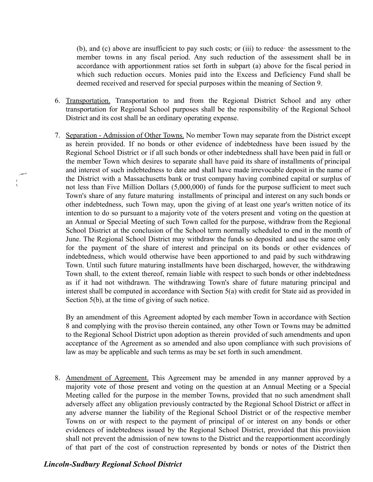(b), and (c) above are insufficient to pay such costs; or (iii) to reduce· the assessment to the member towns in any fiscal period. Any such reduction of the assessment shall be in accordance with apportionment ratios set forth in subpart (a) above for the fiscal period in which such reduction occurs. Monies paid into the Excess and Deficiency Fund shall be deemed received and reserved for special purposes within the meaning of Section 9.

- 6. Transportation. Transportation to and from the Regional District School and any other transportation for Regional School purposes shall be the responsibility of the Regional School District and its cost shall be an ordinary operating expense.
- 7. Separation Admission of Other Towns. No member Town may separate from the District except as herein provided. If no bonds or other evidence of indebtedness have been issued by the Regional School District or if all such bonds or other indebtedness shall have been paid in full or the member Town which desires to separate shall have paid its share of installments of principal and interest of such indebtedness to date and shall have made irrevocable deposit in the name of the District with a Massachusetts bank or trust company having combined capital or surplus of not less than Five Million Dollars (5,000,000) of funds for the purpose sufficient to meet such Town's share of any future maturing installments of principal and interest on any such bonds or other indebtedness, such Town may, upon the giving of at least one year's written notice of its intention to do so pursuant to a majority vote of the voters present and voting on the question at an Annual or Special Meeting of such Town called for the purpose, withdraw from the Regional School District at the conclusion of the School term normally scheduled to end in the month of June. The Regional School District may withdraw the funds so deposited and use the same only for the payment of the share of interest and principal on its bonds or other evidences of indebtedness, which would otherwise have been apportioned to and paid by such withdrawing Town. Until such future maturing installments have been discharged, however, the withdrawing Town shall, to the extent thereof, remain liable with respect to such bonds or other indebtedness as if it had not withdrawn. The withdrawing Town's share of future maturing principal and interest shall be computed in accordance with Section 5(a) with credit for State aid as provided in Section 5(b), at the time of giving of such notice.

By an amendment of this Agreement adopted by each member Town in accordance with Section 8 and complying with the proviso therein contained, any other Town or Towns may be admitted to the Regional School District upon adoption as therein provided of such amendments and upon acceptance of the Agreement as so amended and also upon compliance with such provisions of law as may be applicable and such terms as may be set forth in such amendment.

8. Amendment of Agreement. This Agreement may be amended in any manner approved by a majority vote of those present and voting on the question at an Annual Meeting or a Special Meeting called for the purpose in the member Towns, provided that no such amendment shall adversely affect any obligation previously contracted by the Regional School District or affect in any adverse manner the liability of the Regional School District or of the respective member Towns on or with respect to the payment of principal of or interest on any bonds or other evidences of indebtedness issued by the Regional School District, provided that this provision shall not prevent the admission of new towns to the District and the reapportionment accordingly of that part of the cost of construction represented by bonds or notes of the District then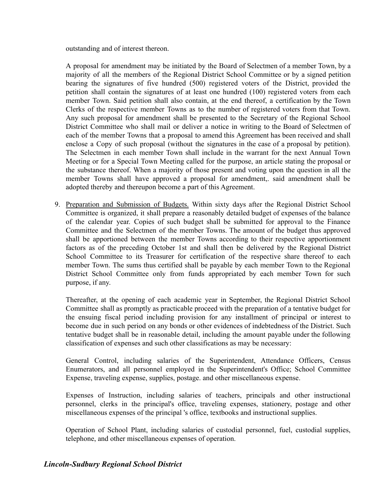outstanding and of interest thereon.

A proposal for amendment may be initiated by the Board of Selectmen of a member Town, by a majority of all the members of the Regional District School Committee or by a signed petition bearing the signatures of five hundred (500) registered voters of the District, provided the petition shall contain the signatures of at least one hundred (100) registered voters from each member Town. Said petition shall also contain, at the end thereof, a certification by the Town Clerks of the respective member Towns as to the number of registered voters from that Town. Any such proposal for amendment shall be presented to the Secretary of the Regional School District Committee who shall mail or deliver a notice in writing to the Board of Selectmen of each of the member Towns that a proposal to amend this Agreement has been received and shall enclose a Copy of such proposal (without the signatures in the case of a proposal by petition). The Selectmen in each member Town shall include in the warrant for the next Annual Town Meeting or for a Special Town Meeting called for the purpose, an article stating the proposal or the substance thereof. When a majority of those present and voting upon the question in all the member Towns shall have approved a proposal for amendment,. said amendment shall be adopted thereby and thereupon become a part of this Agreement.

9. Preparation and Submission of Budgets. Within sixty days after the Regional District School Committee is organized, it shall prepare a reasonably detailed budget of expenses of the balance of the calendar year. Copies of such budget shall be submitted for approval to the Finance Committee and the Selectmen of the member Towns. The amount of the budget thus approved shall be apportioned between the member Towns according to their respective apportionment factors as of the preceding October 1st and shall then be delivered by the Regional District School Committee to its Treasurer for certification of the respective share thereof to each member Town. The sums thus certified shall be payable by each member Town to the Regional District School Committee only from funds appropriated by each member Town for such purpose, if any.

Thereafter, at the opening of each academic year in September, the Regional District School Committee shall as promptly as practicable proceed with the preparation of a tentative budget for the ensuing fiscal period including provision for any installment of principal or interest to become due in such period on any bonds or other evidences of indebtedness of the District. Such tentative budget shall be in reasonable detail, including the amount payable under the following classification of expenses and such other classifications as may be necessary:

General Control, including salaries of the Superintendent, Attendance Officers, Census Enumerators, and all personnel employed in the Superintendent's Office; School Committee Expense, traveling expense, supplies, postage. and other miscellaneous expense.

Expenses of Instruction, including salaries of teachers, principals and other instructional personnel, clerks in the principal's office, traveling expenses, stationery, postage and other miscellaneous expenses of the principal 's office, textbooks and instructional supplies.

Operation of School Plant, including salaries of custodial personnel, fuel, custodial supplies, telephone, and other miscellaneous expenses of operation.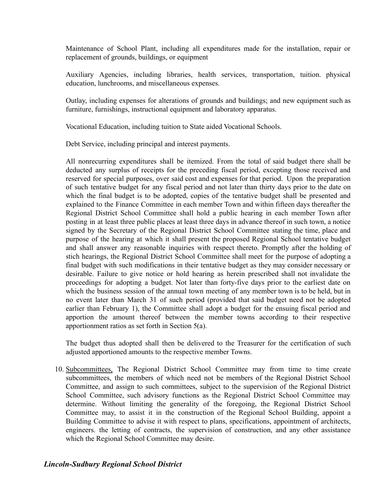Maintenance of School Plant, including all expenditures made for the installation, repair or replacement of grounds, buildings, or equipment

Auxiliary Agencies, including libraries, health services, transportation, tuition. physical education, lunchrooms, and miscellaneous expenses.

Outlay, including expenses for alterations of grounds and buildings; and new equipment such as furniture, furnishings, instructional equipment and laboratory apparatus.

Vocational Education, including tuition to State aided Vocational Schools.

Debt Service, including principal and interest payments.

All nonrecurring expenditures shall be itemized. From the total of said budget there shall be deducted any surplus of receipts for the preceding fiscal period, excepting those received and reserved for special purposes, over said cost and expenses for that period. Upon the preparation of such tentative budget for any fiscal period and not later than thirty days prior to the date on which the final budget is to be adopted, copies of the tentative budget shall be presented and explained to the Finance Committee in each member Town and within fifteen days thereafter the Regional District School Committee shall hold a public hearing in each member Town after posting in at least three public places at least three days in advance thereof in such town, a notice signed by the Secretary of the Regional District School Committee stating the time, place and purpose of the hearing at which it shall present the proposed Regional School tentative budget and shall answer any reasonable inquiries with respect thereto. Promptly after the holding of stich hearings, the Regional District School Committee shall meet for the purpose of adopting a final budget with such modifications in their tentative budget as they may consider necessary or desirable. Failure to give notice or hold hearing as herein prescribed shall not invalidate the proceedings for adopting a budget. Not later than forty-five days prior to the earliest date on which the business session of the annual town meeting of any member town is to be held, but in no event later than March 31 of such period (provided that said budget need not be adopted earlier than February 1), the Committee shall adopt a budget for the ensuing fiscal period and apportion the amount thereof between the member towns according to their respective apportionment ratios as set forth in Section 5(a).

The budget thus adopted shall then be delivered to the Treasurer for the certification of such adjusted apportioned amounts to the respective member Towns.

10. Subcommittees, The Regional District School Committee may from time to time create subcommittees, the members of which need not be members of the Regional District School Committee, and assign to such committees, subject to the supervision of the Regional District School Committee, such advisory functions as the Regional District School Committee may determine. Without limiting the generality of the foregoing, the Regional District School Committee may, to assist it in the construction of the Regional School Building, appoint a Building Committee to advise it with respect to plans, specifications, appointment of architects, engineers. the letting of contracts, the supervision of construction, and any other assistance which the Regional School Committee may desire.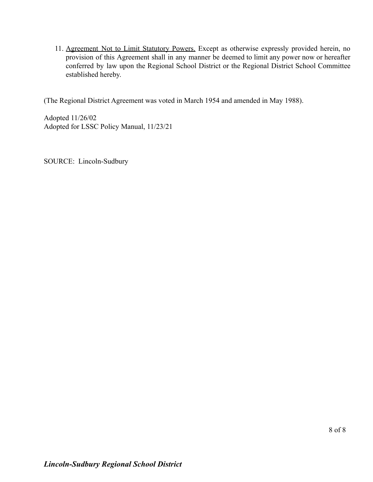11. Agreement Not to Limit Statutory Powers. Except as otherwise expressly provided herein, no provision of this Agreement shall in any manner be deemed to limit any power now or hereafter conferred by law upon the Regional School District or the Regional District School Committee established hereby.

(The Regional District Agreement was voted in March 1954 and amended in May 1988).

Adopted 11/26/02 Adopted for LSSC Policy Manual, 11/23/21

SOURCE: Lincoln-Sudbury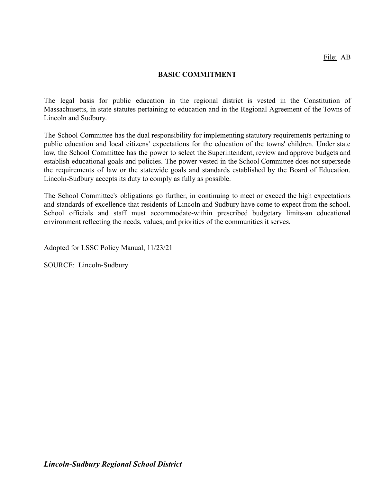## **BASIC COMMITMENT**

The legal basis for public education in the regional district is vested in the Constitution of Massachusetts, in state statutes pertaining to education and in the Regional Agreement of the Towns of Lincoln and Sudbury.

The School Committee has the dual responsibility for implementing statutory requirements pertaining to public education and local citizens' expectations for the education of the towns' children. Under state law, the School Committee has the power to select the Superintendent, review and approve budgets and establish educational goals and policies. The power vested in the School Committee does not supersede the requirements of law or the statewide goals and standards established by the Board of Education. Lincoln-Sudbury accepts its duty to comply as fully as possible.

The School Committee's obligations go further, in continuing to meet or exceed the high expectations and standards of excellence that residents of Lincoln and Sudbury have come to expect from the school. School officials and staff must accommodate-within prescribed budgetary limits-an educational environment reflecting the needs, values, and priorities of the communities it serves.

Adopted for LSSC Policy Manual, 11/23/21

SOURCE: Lincoln-Sudbury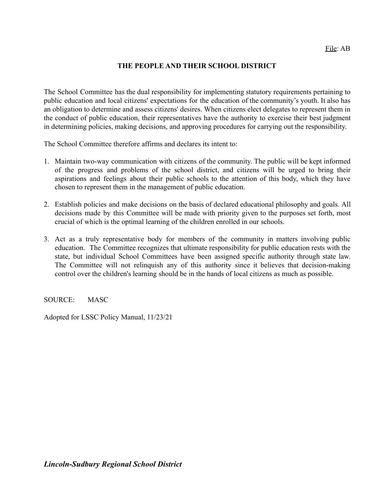### **THE PEOPLE AND THEIR SCHOOL DISTRICT**

The School Committee has the dual responsibility for implementing statutory requirements pertaining to public education and local citizens' expectations for the education of the community's youth. It also has an obligation to determine and assess citizens' desires. When citizens elect delegates to represent them in the conduct of public education, their representatives have the authority to exercise their best judgment in determining policies, making decisions, and approving procedures for carrying out the responsibility.

The School Committee therefore affirms and declares its intent to:

- 1. Maintain two-way communication with citizens of the community. The public will be kept informed of the progress and problems of the school district, and citizens will be urged to bring their aspirations and feelings about their public schools to the attention of this body, which they have chosen to represent them in the management of public education.
- 2. Establish policies and make decisions on the basis of declared educational philosophy and goals. All decisions made by this Committee will be made with priority given to the purposes set forth, most crucial of which is the optimal learning of the children enrolled in our schools.
- 3. Act as a truly representative body for members of the community in matters involving public education. The Committee recognizes that ultimate responsibility for public education rests with the state, but individual School Committees have been assigned specific authority through state law. The Committee will not relinquish any of this authority since it believes that decision-making control over the children's learning should be in the hands of local citizens as much as possible.

SOURCE: MASC

Adopted for LSSC Policy Manual, 11/23/21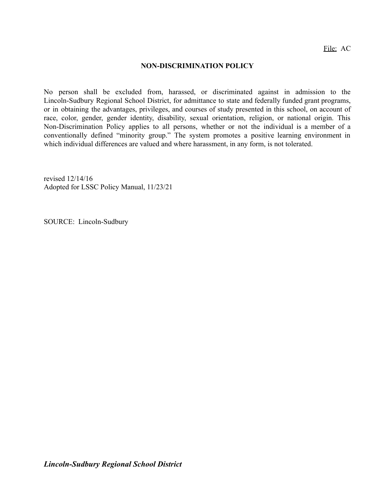### **NON-DISCRIMINATION POLICY**

No person shall be excluded from, harassed, or discriminated against in admission to the Lincoln-Sudbury Regional School District, for admittance to state and federally funded grant programs, or in obtaining the advantages, privileges, and courses of study presented in this school, on account of race, color, gender, gender identity, disability, sexual orientation, religion, or national origin. This Non-Discrimination Policy applies to all persons, whether or not the individual is a member of a conventionally defined "minority group." The system promotes a positive learning environment in which individual differences are valued and where harassment, in any form, is not tolerated.

revised 12/14/16 Adopted for LSSC Policy Manual, 11/23/21

SOURCE: Lincoln-Sudbury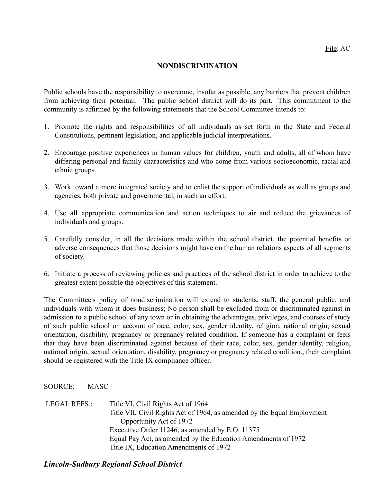### **NONDISCRIMINATION**

Public schools have the responsibility to overcome, insofar as possible, any barriers that prevent children from achieving their potential. The public school district will do its part. This commitment to the community is affirmed by the following statements that the School Committee intends to:

- 1. Promote the rights and responsibilities of all individuals as set forth in the State and Federal Constitutions, pertinent legislation, and applicable judicial interpretations.
- 2. Encourage positive experiences in human values for children, youth and adults, all of whom have differing personal and family characteristics and who come from various socioeconomic, racial and ethnic groups.
- 3. Work toward a more integrated society and to enlist the support of individuals as well as groups and agencies, both private and governmental, in such an effort.
- 4. Use all appropriate communication and action techniques to air and reduce the grievances of individuals and groups.
- 5. Carefully consider, in all the decisions made within the school district, the potential benefits or adverse consequences that those decisions might have on the human relations aspects of all segments of society.
- 6. Initiate a process of reviewing policies and practices of the school district in order to achieve to the greatest extent possible the objectives of this statement.

The Committee's policy of nondiscrimination will extend to students, staff, the general public, and individuals with whom it does business; No person shall be excluded from or discriminated against in admission to a public school of any town or in obtaining the advantages, privileges, and courses of study of such public school on account of race, color, sex, gender identity, religion, national origin, sexual orientation, disability, pregnancy or pregnancy related condition. If someone has a complaint or feels that they have been discriminated against because of their race, color, sex, gender identity, religion, national origin, sexual orientation, disability, pregnancy or pregnancy related condition., their complaint should be registered with the Title IX compliance officer.

SOURCE: MASC

LEGAL REFS.: Title VI, Civil Rights Act of 1964 Title VII, Civil Rights Act of 1964, as amended by the Equal Employment Opportunity Act of 1972 Executive Order 11246, as amended by E.O. 11375 Equal Pay Act, as amended by the Education Amendments of 1972 Title IX, Education Amendments of 1972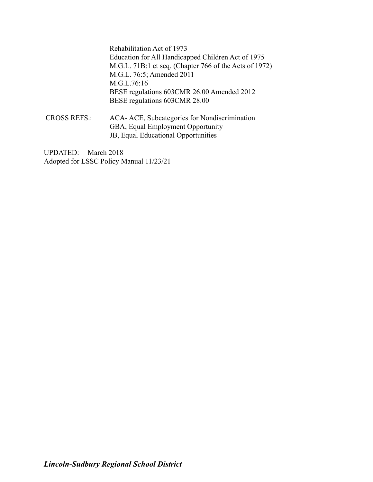Rehabilitation Act of 1973 Education for All Handicapped Children Act of 1975 M.G.L. 71B:1 et seq. (Chapter 766 of the Acts of 1972) M.G.L. 76:5; Amended 2011 M.G.L.76:16 BESE regulations 603CMR 26.00 Amended 2012 BESE regulations 603CMR 28.00

CROSS REFS.: ACA- ACE, Subcategories for Nondiscrimination GBA, Equal Employment Opportunity JB, Equal Educational Opportunities

UPDATED: March 2018 Adopted for LSSC Policy Manual 11/23/21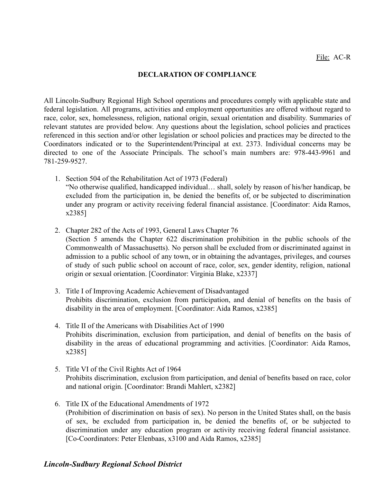### **DECLARATION OF COMPLIANCE**

All Lincoln-Sudbury Regional High School operations and procedures comply with applicable state and federal legislation. All programs, activities and employment opportunities are offered without regard to race, color, sex, homelessness, religion, national origin, sexual orientation and disability. Summaries of relevant statutes are provided below. Any questions about the legislation, school policies and practices referenced in this section and/or other legislation or school policies and practices may be directed to the Coordinators indicated or to the Superintendent/Principal at ext. 2373. Individual concerns may be directed to one of the Associate Principals. The school's main numbers are: 978-443-9961 and 781-259-9527.

- 1. Section 504 of the Rehabilitation Act of 1973 (Federal) "No otherwise qualified, handicapped individual… shall, solely by reason of his/her handicap, be excluded from the participation in, be denied the benefits of, or be subjected to discrimination under any program or activity receiving federal financial assistance. [Coordinator: Aida Ramos, x2385]
- 2. Chapter 282 of the Acts of 1993, General Laws Chapter 76 (Section 5 amends the Chapter 622 discrimination prohibition in the public schools of the Commonwealth of Massachusetts). No person shall be excluded from or discriminated against in admission to a public school of any town, or in obtaining the advantages, privileges, and courses of study of such public school on account of race, color, sex, gender identity, religion, national origin or sexual orientation. [Coordinator: Virginia Blake, x2337]
- 3. Title I of Improving Academic Achievement of Disadvantaged Prohibits discrimination, exclusion from participation, and denial of benefits on the basis of disability in the area of employment. [Coordinator: Aida Ramos, x2385]
- 4. Title II of the Americans with Disabilities Act of 1990 Prohibits discrimination, exclusion from participation, and denial of benefits on the basis of disability in the areas of educational programming and activities. [Coordinator: Aida Ramos, x2385]
- 5. Title VI of the Civil Rights Act of 1964 Prohibits discrimination, exclusion from participation, and denial of benefits based on race, color and national origin. [Coordinator: Brandi Mahlert, x2382]
- 6. Title IX of the Educational Amendments of 1972 (Prohibition of discrimination on basis of sex). No person in the United States shall, on the basis of sex, be excluded from participation in, be denied the benefits of, or be subjected to discrimination under any education program or activity receiving federal financial assistance. [Co-Coordinators: Peter Elenbaas, x3100 and Aida Ramos, x2385]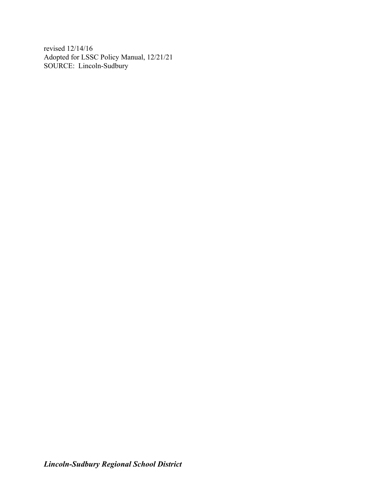revised 12/14/16 Adopted for LSSC Policy Manual, 12/21/21 SOURCE: Lincoln-Sudbury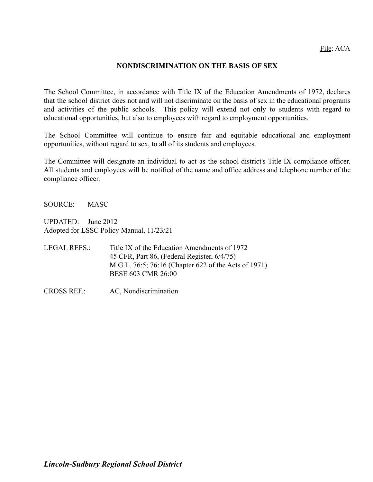### **NONDISCRIMINATION ON THE BASIS OF SEX**

The School Committee, in accordance with Title IX of the Education Amendments of 1972, declares that the school district does not and will not discriminate on the basis of sex in the educational programs and activities of the public schools. This policy will extend not only to students with regard to educational opportunities, but also to employees with regard to employment opportunities.

The School Committee will continue to ensure fair and equitable educational and employment opportunities, without regard to sex, to all of its students and employees.

The Committee will designate an individual to act as the school district's Title IX compliance officer. All students and employees will be notified of the name and office address and telephone number of the compliance officer.

SOURCE: MASC

UPDATED: June 2012 Adopted for LSSC Policy Manual, 11/23/21

| LEGAL REFS.: | Title IX of the Education Amendments of 1972         |
|--------------|------------------------------------------------------|
|              | 45 CFR, Part 86, (Federal Register, 6/4/75)          |
|              | M.G.L. 76:5; 76:16 (Chapter 622 of the Acts of 1971) |
|              | <b>BESE 603 CMR 26:00</b>                            |

CROSS REF.: AC, Nondiscrimination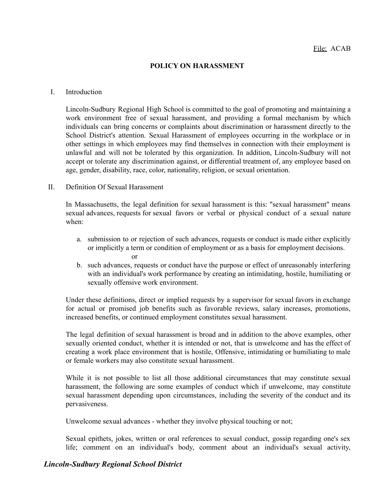### **POLICY ON HARASSMENT**

#### I. Introduction

Lincoln-Sudbury Regional High School is committed to the goal of promoting and maintaining a work environment free of sexual harassment, and providing a formal mechanism by which individuals can bring concerns or complaints about discrimination or harassment directly to the School District's attention. Sexual Harassment of employees occurring in the workplace or in other settings in which employees may find themselves in connection with their employment is unlawful and will not be tolerated by this organization. In addition, Lincoln-Sudbury will not accept or tolerate any discrimination against, or differential treatment of, any employee based on age, gender, disability, race, color, nationality, religion, or sexual orientation.

#### II. Definition Of Sexual Harassment

In Massachusetts, the legal definition for sexual harassment is this: "sexual harassment" means sexual advances, requests for sexual favors or verbal or physical conduct of a sexual nature when:

- a. submission to or rejection of such advances, requests or conduct is made either explicitly or implicitly a term or condition of employment or as a basis for employment decisions. or
- b. such advances, requests or conduct have the purpose or effect of unreasonably interfering with an individual's work performance by creating an intimidating, hostile, humiliating or sexually offensive work environment.

Under these definitions, direct or implied requests by a supervisor for sexual favors in exchange for actual or promised job benefits such as favorable reviews, salary increases, promotions, increased benefits, or continued employment constitutes sexual harassment.

The legal definition of sexual harassment is broad and in addition to the above examples, other sexually oriented conduct, whether it is intended or not, that is unwelcome and has the effect of creating a work place environment that is hostile, Offensive, intimidating or humiliating to male or female workers may also constitute sexual harassment.

While it is not possible to list all those additional circumstances that may constitute sexual harassment, the following are some examples of conduct which if unwelcome, may constitute sexual harassment depending upon circumstances, including the severity of the conduct and its pervasiveness.

Unwelcome sexual advances - whether they involve physical touching or not;

Sexual epithets, jokes, written or oral references to sexual conduct, gossip regarding one's sex life; comment on an individual's body, comment about an individual's sexual activity,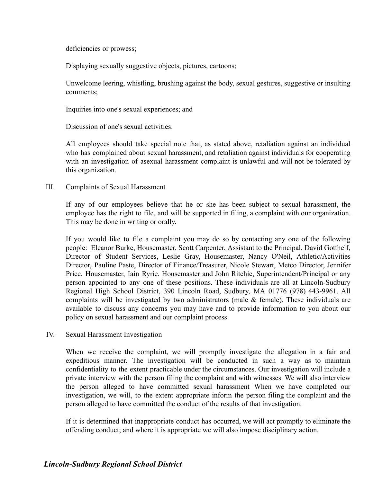deficiencies or prowess;

Displaying sexually suggestive objects, pictures, cartoons;

Unwelcome leering, whistling, brushing against the body, sexual gestures, suggestive or insulting comments;

Inquiries into one's sexual experiences; and

Discussion of one's sexual activities.

All employees should take special note that, as stated above, retaliation against an individual who has complained about sexual harassment, and retaliation against individuals for cooperating with an investigation of asexual harassment complaint is unlawful and will not be tolerated by this organization.

III. Complaints of Sexual Harassment

If any of our employees believe that he or she has been subject to sexual harassment, the employee has the right to file, and will be supported in filing, a complaint with our organization. This may be done in writing or orally.

If you would like to file a complaint you may do so by contacting any one of the following people: Eleanor Burke, Housemaster, Scott Carpenter, Assistant to the Principal, David Gotthelf, Director of Student Services, Leslie Gray, Housemaster, Nancy O'Neil, Athletic/Activities Director, Pauline Paste, Director of Finance/Treasurer, Nicole Stewart, Metco Director, Jennifer Price, Housemaster, Iain Ryrie, Housemaster and John Ritchie, Superintendent/Principal or any person appointed to any one of these positions. These individuals are all at Lincoln-Sudbury Regional High School District, 390 Lincoln Road, Sudbury, MA 01776 (978) 443-9961. All complaints will be investigated by two administrators (male  $\&$  female). These individuals are available to discuss any concerns you may have and to provide information to you about our policy on sexual harassment and our complaint process.

IV. Sexual Harassment Investigation

When we receive the complaint, we will promptly investigate the allegation in a fair and expeditious manner. The investigation will be conducted in such a way as to maintain confidentiality to the extent practicable under the circumstances. Our investigation will include a private interview with the person filing the complaint and with witnesses. We will also interview the person alleged to have committed sexual harassment When we have completed our investigation, we will, to the extent appropriate inform the person filing the complaint and the person alleged to have committed the conduct of the results of that investigation.

If it is determined that inappropriate conduct has occurred, we will act promptly to eliminate the offending conduct; and where it is appropriate we will also impose disciplinary action.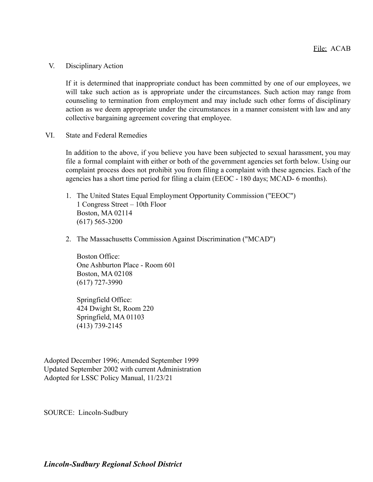#### V. Disciplinary Action

If it is determined that inappropriate conduct has been committed by one of our employees, we will take such action as is appropriate under the circumstances. Such action may range from counseling to termination from employment and may include such other forms of disciplinary action as we deem appropriate under the circumstances in a manner consistent with law and any collective bargaining agreement covering that employee.

VI. State and Federal Remedies

In addition to the above, if you believe you have been subjected to sexual harassment, you may file a formal complaint with either or both of the government agencies set forth below. Using our complaint process does not prohibit you from filing a complaint with these agencies. Each of the agencies has a short time period for filing a claim (EEOC - 180 days; MCAD- 6 months).

- 1. The United States Equal Employment Opportunity Commission ("EEOC") 1 Congress Street – 10th Floor Boston, MA 02114 (617) 565-3200
- 2. The Massachusetts Commission Against Discrimination ("MCAD")

Boston Office: One Ashburton Place - Room 601 Boston, MA 02108 (617) 727-3990

Springfield Office: 424 Dwight St, Room 220 Springfield, MA 01103 (413) 739-2145

Adopted December 1996; Amended September 1999 Updated September 2002 with current Administration Adopted for LSSC Policy Manual, 11/23/21

SOURCE: Lincoln-Sudbury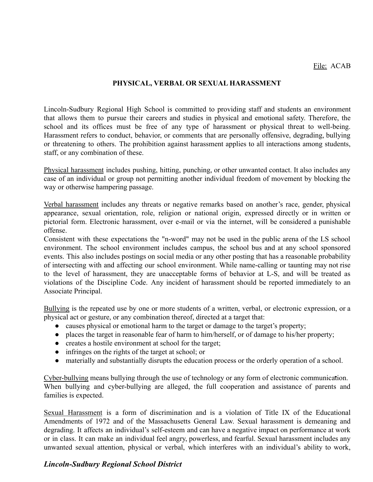## **PHYSICAL, VERBAL OR SEXUAL HARASSMENT**

Lincoln-Sudbury Regional High School is committed to providing staff and students an environment that allows them to pursue their careers and studies in physical and emotional safety. Therefore, the school and its offices must be free of any type of harassment or physical threat to well-being. Harassment refers to conduct, behavior, or comments that are personally offensive, degrading, bullying or threatening to others. The prohibition against harassment applies to all interactions among students, staff, or any combination of these.

Physical harassment includes pushing, hitting, punching, or other unwanted contact. It also includes any case of an individual or group not permitting another individual freedom of movement by blocking the way or otherwise hampering passage.

Verbal harassment includes any threats or negative remarks based on another's race, gender, physical appearance, sexual orientation, role, religion or national origin, expressed directly or in written or pictorial form. Electronic harassment, over e-mail or via the internet, will be considered a punishable offense.

Consistent with these expectations the "n-word" may not be used in the public arena of the LS school environment. The school environment includes campus, the school bus and at any school sponsored events. This also includes postings on social media or any other posting that has a reasonable probability of intersecting with and affecting our school environment. While name-calling or taunting may not rise to the level of harassment, they are unacceptable forms of behavior at L-S, and will be treated as violations of the Discipline Code. Any incident of harassment should be reported immediately to an Associate Principal.

Bullying is the repeated use by one or more students of a written, verbal, or electronic expression, or a physical act or gesture, or any combination thereof, directed at a target that:

- causes physical or emotional harm to the target or damage to the target's property;
- places the target in reasonable fear of harm to him/herself, or of damage to his/her property;
- creates a hostile environment at school for the target;
- infringes on the rights of the target at school; or
- materially and substantially disrupts the education process or the orderly operation of a school.

Cyber-bullying means bullying through the use of technology or any form of electronic communication. When bullying and cyber-bullying are alleged, the full cooperation and assistance of parents and families is expected.

Sexual Harassment is a form of discrimination and is a violation of Title IX of the Educational Amendments of 1972 and of the Massachusetts General Law. Sexual harassment is demeaning and degrading. It affects an individual's self-esteem and can have a negative impact on performance at work or in class. It can make an individual feel angry, powerless, and fearful. Sexual harassment includes any unwanted sexual attention, physical or verbal, which interferes with an individual's ability to work,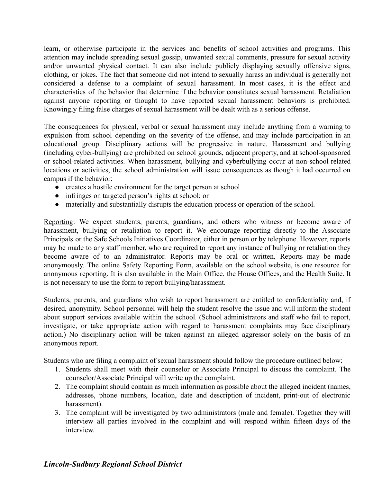learn, or otherwise participate in the services and benefits of school activities and programs. This attention may include spreading sexual gossip, unwanted sexual comments, pressure for sexual activity and/or unwanted physical contact. It can also include publicly displaying sexually offensive signs, clothing, or jokes. The fact that someone did not intend to sexually harass an individual is generally not considered a defense to a complaint of sexual harassment. In most cases, it is the effect and characteristics of the behavior that determine if the behavior constitutes sexual harassment. Retaliation against anyone reporting or thought to have reported sexual harassment behaviors is prohibited. Knowingly filing false charges of sexual harassment will be dealt with as a serious offense.

The consequences for physical, verbal or sexual harassment may include anything from a warning to expulsion from school depending on the severity of the offense, and may include participation in an educational group. Disciplinary actions will be progressive in nature. Harassment and bullying (including cyber-bullying) are prohibited on school grounds, adjacent property, and at school-sponsored or school-related activities. When harassment, bullying and cyberbullying occur at non-school related locations or activities, the school administration will issue consequences as though it had occurred on campus if the behavior:

- creates a hostile environment for the target person at school
- infringes on targeted person's rights at school; or
- materially and substantially disrupts the education process or operation of the school.

Reporting: We expect students, parents, guardians, and others who witness or become aware of harassment, bullying or retaliation to report it. We encourage reporting directly to the Associate Principals or the Safe Schools Initiatives Coordinator, either in person or by telephone. However, reports may be made to any staff member, who are required to report any instance of bullying or retaliation they become aware of to an administrator. Reports may be oral or written. Reports may be made anonymously. The online Safety Reporting Form, available on the school website, is one resource for anonymous reporting. It is also available in the Main Office, the House Offices, and the Health Suite. It is not necessary to use the form to report bullying/harassment.

Students, parents, and guardians who wish to report harassment are entitled to confidentiality and, if desired, anonymity. School personnel will help the student resolve the issue and will inform the student about support services available within the school. (School administrators and staff who fail to report, investigate, or take appropriate action with regard to harassment complaints may face disciplinary action.) No disciplinary action will be taken against an alleged aggressor solely on the basis of an anonymous report.

Students who are filing a complaint of sexual harassment should follow the procedure outlined below:

- 1. Students shall meet with their counselor or Associate Principal to discuss the complaint. The counselor/Associate Principal will write up the complaint.
- 2. The complaint should contain as much information as possible about the alleged incident (names, addresses, phone numbers, location, date and description of incident, print-out of electronic harassment).
- 3. The complaint will be investigated by two administrators (male and female). Together they will interview all parties involved in the complaint and will respond within fifteen days of the interview.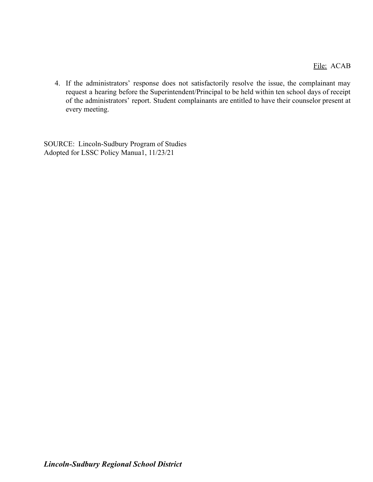4. If the administrators' response does not satisfactorily resolve the issue, the complainant may request a hearing before the Superintendent/Principal to be held within ten school days of receipt of the administrators' report. Student complainants are entitled to have their counselor present at every meeting.

SOURCE: Lincoln-Sudbury Program of Studies Adopted for LSSC Policy Manua1, 11/23/21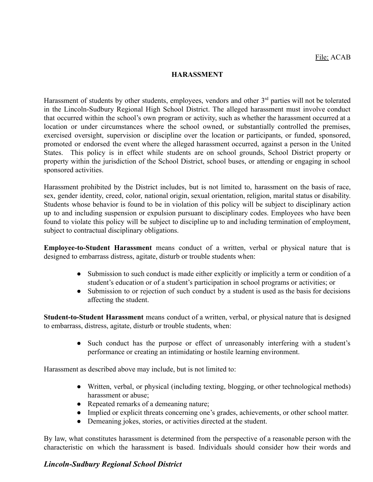## **HARASSMENT**

Harassment of students by other students, employees, vendors and other 3<sup>rd</sup> parties will not be tolerated in the Lincoln-Sudbury Regional High School District. The alleged harassment must involve conduct that occurred within the school's own program or activity, such as whether the harassment occurred at a location or under circumstances where the school owned, or substantially controlled the premises, exercised oversight, supervision or discipline over the location or participants, or funded, sponsored, promoted or endorsed the event where the alleged harassment occurred, against a person in the United States. This policy is in effect while students are on school grounds, School District property or property within the jurisdiction of the School District, school buses, or attending or engaging in school sponsored activities.

Harassment prohibited by the District includes, but is not limited to, harassment on the basis of race, sex, gender identity, creed, color, national origin, sexual orientation, religion, marital status or disability. Students whose behavior is found to be in violation of this policy will be subject to disciplinary action up to and including suspension or expulsion pursuant to disciplinary codes. Employees who have been found to violate this policy will be subject to discipline up to and including termination of employment, subject to contractual disciplinary obligations.

**Employee-to-Student Harassment** means conduct of a written, verbal or physical nature that is designed to embarrass distress, agitate, disturb or trouble students when:

- Submission to such conduct is made either explicitly or implicitly a term or condition of a student's education or of a student's participation in school programs or activities; or
- Submission to or rejection of such conduct by a student is used as the basis for decisions affecting the student.

**Student-to-Student Harassment** means conduct of a written, verbal, or physical nature that is designed to embarrass, distress, agitate, disturb or trouble students, when:

> ● Such conduct has the purpose or effect of unreasonably interfering with a student's performance or creating an intimidating or hostile learning environment.

Harassment as described above may include, but is not limited to:

- Written, verbal, or physical (including texting, blogging, or other technological methods) harassment or abuse;
- Repeated remarks of a demeaning nature;
- Implied or explicit threats concerning one's grades, achievements, or other school matter.
- Demeaning jokes, stories, or activities directed at the student.

By law, what constitutes harassment is determined from the perspective of a reasonable person with the characteristic on which the harassment is based. Individuals should consider how their words and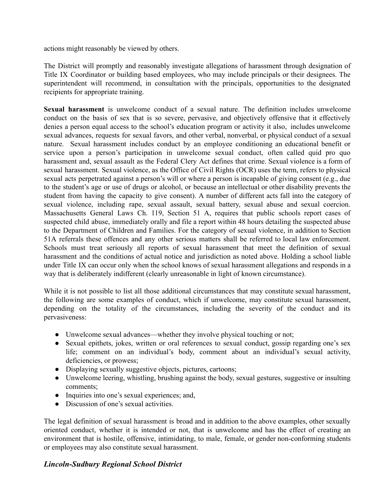actions might reasonably be viewed by others.

The District will promptly and reasonably investigate allegations of harassment through designation of Title IX Coordinator or building based employees, who may include principals or their designees. The superintendent will recommend, in consultation with the principals, opportunities to the designated recipients for appropriate training.

**Sexual harassment** is unwelcome conduct of a sexual nature. The definition includes unwelcome conduct on the basis of sex that is so severe, pervasive, and objectively offensive that it effectively denies a person equal access to the school's education program or activity it also, includes unwelcome sexual advances, requests for sexual favors, and other verbal, nonverbal, or physical conduct of a sexual nature. Sexual harassment includes conduct by an employee conditioning an educational benefit or service upon a person's participation in unwelcome sexual conduct, often called quid pro quo harassment and, sexual assault as the Federal Clery Act defines that crime. Sexual violence is a form of sexual harassment. Sexual violence, as the Office of Civil Rights (OCR) uses the term, refers to physical sexual acts perpetrated against a person's will or where a person is incapable of giving consent (e.g., due to the student's age or use of drugs or alcohol, or because an intellectual or other disability prevents the student from having the capacity to give consent). A number of different acts fall into the category of sexual violence, including rape, sexual assault, sexual battery, sexual abuse and sexual coercion. Massachusetts General Laws Ch. 119, Section 51 A, requires that public schools report cases of suspected child abuse, immediately orally and file a report within 48 hours detailing the suspected abuse to the Department of Children and Families. For the category of sexual violence, in addition to Section 51A referrals these offences and any other serious matters shall be referred to local law enforcement. Schools must treat seriously all reports of sexual harassment that meet the definition of sexual harassment and the conditions of actual notice and jurisdiction as noted above. Holding a school liable under Title IX can occur only when the school knows of sexual harassment allegations and responds in a way that is deliberately indifferent (clearly unreasonable in light of known circumstance).

While it is not possible to list all those additional circumstances that may constitute sexual harassment, the following are some examples of conduct, which if unwelcome, may constitute sexual harassment, depending on the totality of the circumstances, including the severity of the conduct and its pervasiveness:

- Unwelcome sexual advances—whether they involve physical touching or not;
- Sexual epithets, jokes, written or oral references to sexual conduct, gossip regarding one's sex life; comment on an individual's body, comment about an individual's sexual activity, deficiencies, or prowess;
- Displaying sexually suggestive objects, pictures, cartoons;
- Unwelcome leering, whistling, brushing against the body, sexual gestures, suggestive or insulting comments;
- Inquiries into one's sexual experiences; and,
- Discussion of one's sexual activities.

The legal definition of sexual harassment is broad and in addition to the above examples, other sexually oriented conduct, whether it is intended or not, that is unwelcome and has the effect of creating an environment that is hostile, offensive, intimidating, to male, female, or gender non-conforming students or employees may also constitute sexual harassment.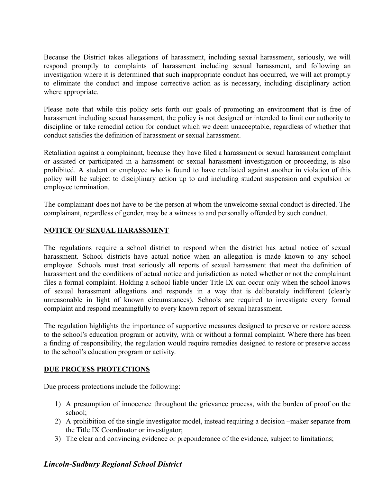Because the District takes allegations of harassment, including sexual harassment, seriously, we will respond promptly to complaints of harassment including sexual harassment, and following an investigation where it is determined that such inappropriate conduct has occurred, we will act promptly to eliminate the conduct and impose corrective action as is necessary, including disciplinary action where appropriate.

Please note that while this policy sets forth our goals of promoting an environment that is free of harassment including sexual harassment, the policy is not designed or intended to limit our authority to discipline or take remedial action for conduct which we deem unacceptable, regardless of whether that conduct satisfies the definition of harassment or sexual harassment.

Retaliation against a complainant, because they have filed a harassment or sexual harassment complaint or assisted or participated in a harassment or sexual harassment investigation or proceeding, is also prohibited. A student or employee who is found to have retaliated against another in violation of this policy will be subject to disciplinary action up to and including student suspension and expulsion or employee termination.

The complainant does not have to be the person at whom the unwelcome sexual conduct is directed. The complainant, regardless of gender, may be a witness to and personally offended by such conduct.

## **NOTICE OF SEXUAL HARASSMENT**

The regulations require a school district to respond when the district has actual notice of sexual harassment. School districts have actual notice when an allegation is made known to any school employee. Schools must treat seriously all reports of sexual harassment that meet the definition of harassment and the conditions of actual notice and jurisdiction as noted whether or not the complainant files a formal complaint. Holding a school liable under Title IX can occur only when the school knows of sexual harassment allegations and responds in a way that is deliberately indifferent (clearly unreasonable in light of known circumstances). Schools are required to investigate every formal complaint and respond meaningfully to every known report of sexual harassment.

The regulation highlights the importance of supportive measures designed to preserve or restore access to the school's education program or activity, with or without a formal complaint. Where there has been a finding of responsibility, the regulation would require remedies designed to restore or preserve access to the school's education program or activity.

## **DUE PROCESS PROTECTIONS**

Due process protections include the following:

- 1) A presumption of innocence throughout the grievance process, with the burden of proof on the school;
- 2) A prohibition of the single investigator model, instead requiring a decision –maker separate from the Title IX Coordinator or investigator;
- 3) The clear and convincing evidence or preponderance of the evidence, subject to limitations;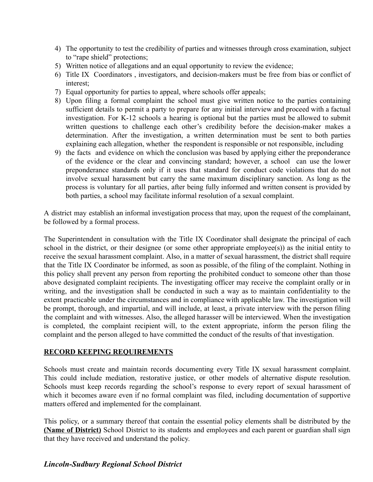- 4) The opportunity to test the credibility of parties and witnesses through cross examination, subject to "rape shield" protections;
- 5) Written notice of allegations and an equal opportunity to review the evidence;
- 6) Title IX Coordinators , investigators, and decision-makers must be free from bias or conflict of interest;
- 7) Equal opportunity for parties to appeal, where schools offer appeals;
- 8) Upon filing a formal complaint the school must give written notice to the parties containing sufficient details to permit a party to prepare for any initial interview and proceed with a factual investigation. For K-12 schools a hearing is optional but the parties must be allowed to submit written questions to challenge each other's credibility before the decision-maker makes a determination. After the investigation, a written determination must be sent to both parties explaining each allegation, whether the respondent is responsible or not responsible, including
- 9) the facts and evidence on which the conclusion was based by applying either the preponderance of the evidence or the clear and convincing standard; however, a school can use the lower preponderance standards only if it uses that standard for conduct code violations that do not involve sexual harassment but carry the same maximum disciplinary sanction. As long as the process is voluntary for all parties, after being fully informed and written consent is provided by both parties, a school may facilitate informal resolution of a sexual complaint.

A district may establish an informal investigation process that may, upon the request of the complainant, be followed by a formal process.

The Superintendent in consultation with the Title IX Coordinator shall designate the principal of each school in the district, or their designee (or some other appropriate employee(s)) as the initial entity to receive the sexual harassment complaint. Also, in a matter of sexual harassment, the district shall require that the Title IX Coordinator be informed, as soon as possible, of the filing of the complaint. Nothing in this policy shall prevent any person from reporting the prohibited conduct to someone other than those above designated complaint recipients. The investigating officer may receive the complaint orally or in writing, and the investigation shall be conducted in such a way as to maintain confidentiality to the extent practicable under the circumstances and in compliance with applicable law. The investigation will be prompt, thorough, and impartial, and will include, at least, a private interview with the person filing the complaint and with witnesses. Also, the alleged harasser will be interviewed. When the investigation is completed, the complaint recipient will, to the extent appropriate, inform the person filing the complaint and the person alleged to have committed the conduct of the results of that investigation.

## **RECORD KEEPING REQUIREMENTS**

Schools must create and maintain records documenting every Title IX sexual harassment complaint. This could include mediation, restorative justice, or other models of alternative dispute resolution. Schools must keep records regarding the school's response to every report of sexual harassment of which it becomes aware even if no formal complaint was filed, including documentation of supportive matters offered and implemented for the complainant.

This policy, or a summary thereof that contain the essential policy elements shall be distributed by the **(Name of District)** School District to its students and employees and each parent or guardian shall sign that they have received and understand the policy.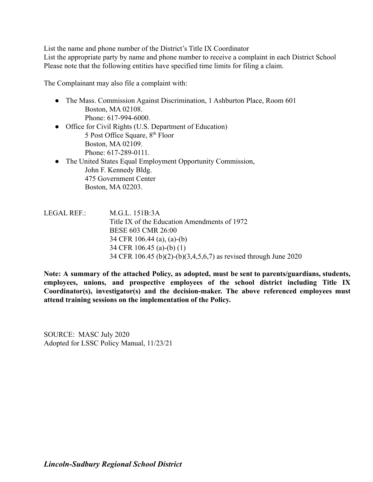List the name and phone number of the District's Title IX Coordinator

List the appropriate party by name and phone number to receive a complaint in each District School Please note that the following entities have specified time limits for filing a claim.

The Complainant may also file a complaint with:

- The Mass. Commission Against Discrimination, 1 Ashburton Place, Room 601 Boston, MA 02108. Phone: 617-994-6000.
- Office for Civil Rights (U.S. Department of Education) 5 Post Office Square, 8th Floor Boston, MA 02109. Phone: 617-289-0111.
- The United States Equal Employment Opportunity Commission, John F. Kennedy Bldg. 475 Government Center Boston, MA 02203.
- LEGAL REF.: M.G.L. 151B:3A Title IX of the Education Amendments of 1972 BESE 603 CMR 26:00 34 CFR 106.44 (a), (a)-(b) 34 CFR 106.45 (a)-(b) (1) 34 CFR 106.45 (b)(2)-(b)(3,4,5,6,7) as revised through June 2020

**Note: A summary of the attached Policy, as adopted, must be sent to parents/guardians, students, employees, unions, and prospective employees of the school district including Title IX Coordinator(s), investigator(s) and the decision-maker. The above referenced employees must attend training sessions on the implementation of the Policy.**

SOURCE: MASC July 2020 Adopted for LSSC Policy Manual, 11/23/21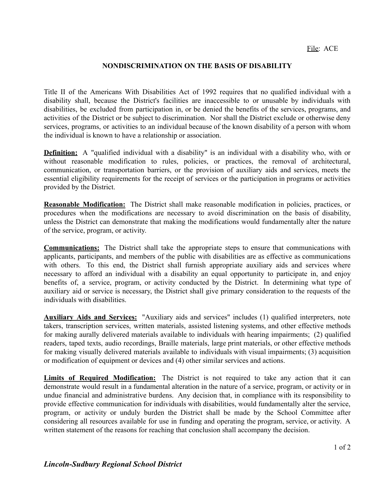#### **NONDISCRIMINATION ON THE BASIS OF DISABILITY**

Title II of the Americans With Disabilities Act of 1992 requires that no qualified individual with a disability shall, because the District's facilities are inaccessible to or unusable by individuals with disabilities, be excluded from participation in, or be denied the benefits of the services, programs, and activities of the District or be subject to discrimination. Nor shall the District exclude or otherwise deny services, programs, or activities to an individual because of the known disability of a person with whom the individual is known to have a relationship or association.

**Definition:** A "qualified individual with a disability" is an individual with a disability who, with or without reasonable modification to rules, policies, or practices, the removal of architectural, communication, or transportation barriers, or the provision of auxiliary aids and services, meets the essential eligibility requirements for the receipt of services or the participation in programs or activities provided by the District.

**Reasonable Modification:** The District shall make reasonable modification in policies, practices, or procedures when the modifications are necessary to avoid discrimination on the basis of disability, unless the District can demonstrate that making the modifications would fundamentally alter the nature of the service, program, or activity.

**Communications:** The District shall take the appropriate steps to ensure that communications with applicants, participants, and members of the public with disabilities are as effective as communications with others. To this end, the District shall furnish appropriate auxiliary aids and services where necessary to afford an individual with a disability an equal opportunity to participate in, and enjoy benefits of, a service, program, or activity conducted by the District. In determining what type of auxiliary aid or service is necessary, the District shall give primary consideration to the requests of the individuals with disabilities.

**Auxiliary Aids and Services:** "Auxiliary aids and services" includes (1) qualified interpreters, note takers, transcription services, written materials, assisted listening systems, and other effective methods for making aurally delivered materials available to individuals with hearing impairments; (2) qualified readers, taped texts, audio recordings, Braille materials, large print materials, or other effective methods for making visually delivered materials available to individuals with visual impairments; (3) acquisition or modification of equipment or devices and (4) other similar services and actions.

**Limits of Required Modification:** The District is not required to take any action that it can demonstrate would result in a fundamental alteration in the nature of a service, program, or activity or in undue financial and administrative burdens. Any decision that, in compliance with its responsibility to provide effective communication for individuals with disabilities, would fundamentally alter the service, program, or activity or unduly burden the District shall be made by the School Committee after considering all resources available for use in funding and operating the program, service, or activity. A written statement of the reasons for reaching that conclusion shall accompany the decision.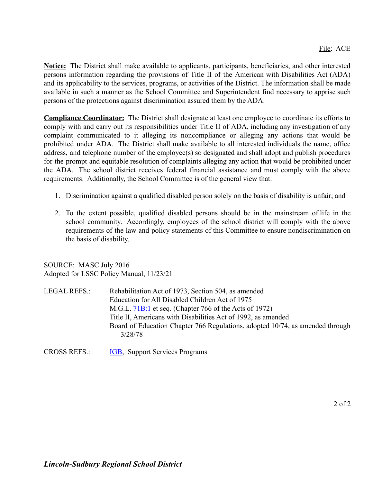**Notice:** The District shall make available to applicants, participants, beneficiaries, and other interested persons information regarding the provisions of Title II of the American with Disabilities Act (ADA) and its applicability to the services, programs, or activities of the District. The information shall be made available in such a manner as the School Committee and Superintendent find necessary to apprise such persons of the protections against discrimination assured them by the ADA.

**Compliance Coordinator:** The District shall designate at least one employee to coordinate its efforts to comply with and carry out its responsibilities under Title II of ADA, including any investigation of any complaint communicated to it alleging its noncompliance or alleging any actions that would be prohibited under ADA. The District shall make available to all interested individuals the name, office address, and telephone number of the employee(s) so designated and shall adopt and publish procedures for the prompt and equitable resolution of complaints alleging any action that would be prohibited under the ADA. The school district receives federal financial assistance and must comply with the above requirements. Additionally, the School Committee is of the general view that:

- 1. Discrimination against a qualified disabled person solely on the basis of disability is unfair; and
- 2. To the extent possible, qualified disabled persons should be in the mainstream of life in the school community. Accordingly, employees of the school district will comply with the above requirements of the law and policy statements of this Committee to ensure nondiscrimination on the basis of disability.

SOURCE: MASC July 2016 Adopted for LSSC Policy Manual, 11/23/21

LEGAL REFS.: Rehabilitation Act of 1973, Section 504, as amended Education for All Disabled Children Act of 1975 M.G.L. [71B:1](http://www.malegislature.gov/Laws/GeneralLaws/PartI/TitleXII/Chapter71b/Section1) et seq. (Chapter 766 of the Acts of 1972) Title II, Americans with Disabilities Act of 1992, as amended Board of Education Chapter 766 Regulations, adopted 10/74, as amended through 3/28/78

CROSS REFS.: [IGB,](http://z2policy.ctspublish.com/masc/DocViewer.jsp?docid=166&z2collection=master#JD_IGB) Support Services Programs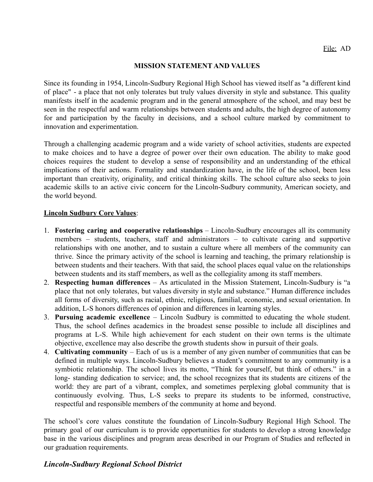### **MISSION STATEMENT AND VALUES**

Since its founding in 1954, Lincoln-Sudbury Regional High School has viewed itself as "a different kind of place" - a place that not only tolerates but truly values diversity in style and substance. This quality manifests itself in the academic program and in the general atmosphere of the school, and may best be seen in the respectful and warm relationships between students and adults, the high degree of autonomy for and participation by the faculty in decisions, and a school culture marked by commitment to innovation and experimentation.

Through a challenging academic program and a wide variety of school activities, students are expected to make choices and to have a degree of power over their own education. The ability to make good choices requires the student to develop a sense of responsibility and an understanding of the ethical implications of their actions. Formality and standardization have, in the life of the school, been less important than creativity, originality, and critical thinking skills. The school culture also seeks to join academic skills to an active civic concern for the Lincoln-Sudbury community, American society, and the world beyond.

### **Lincoln Sudbury Core Values**:

- 1. **Fostering caring and cooperative relationships** Lincoln-Sudbury encourages all its community members – students, teachers, staff and administrators – to cultivate caring and supportive relationships with one another, and to sustain a culture where all members of the community can thrive. Since the primary activity of the school is learning and teaching, the primary relationship is between students and their teachers. With that said, the school places equal value on the relationships between students and its staff members, as well as the collegiality among its staff members.
- 2. **Respecting human differences** As articulated in the Mission Statement, Lincoln-Sudbury is "a place that not only tolerates, but values diversity in style and substance." Human difference includes all forms of diversity, such as racial, ethnic, religious, familial, economic, and sexual orientation. In addition, L-S honors differences of opinion and differences in learning styles.
- 3. **Pursuing academic excellence** Lincoln Sudbury is committed to educating the whole student. Thus, the school defines academics in the broadest sense possible to include all disciplines and programs at L-S. While high achievement for each student on their own terms is the ultimate objective, excellence may also describe the growth students show in pursuit of their goals.
- 4. **Cultivating community** Each of us is a member of any given number of communities that can be defined in multiple ways. Lincoln-Sudbury believes a student's commitment to any community is a symbiotic relationship. The school lives its motto, "Think for yourself, but think of others." in a long- standing dedication to service; and, the school recognizes that its students are citizens of the world: they are part of a vibrant, complex, and sometimes perplexing global community that is continuously evolving. Thus, L-S seeks to prepare its students to be informed, constructive, respectful and responsible members of the community at home and beyond.

The school's core values constitute the foundation of Lincoln-Sudbury Regional High School. The primary goal of our curriculum is to provide opportunities for students to develop a strong knowledge base in the various disciplines and program areas described in our Program of Studies and reflected in our graduation requirements.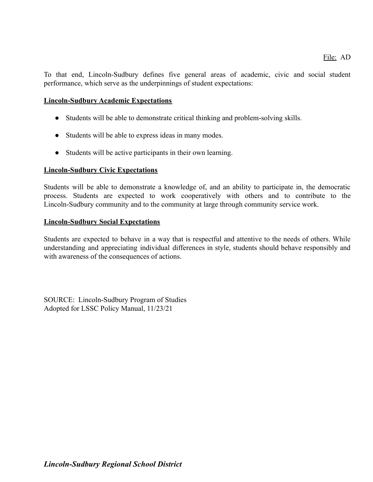To that end, Lincoln-Sudbury defines five general areas of academic, civic and social student performance, which serve as the underpinnings of student expectations:

## **Lincoln-Sudbury Academic Expectations**

- Students will be able to demonstrate critical thinking and problem-solving skills.
- Students will be able to express ideas in many modes.
- Students will be active participants in their own learning.

## **Lincoln-Sudbury Civic Expectations**

Students will be able to demonstrate a knowledge of, and an ability to participate in, the democratic process. Students are expected to work cooperatively with others and to contribute to the Lincoln-Sudbury community and to the community at large through community service work.

### **Lincoln-Sudbury Social Expectations**

Students are expected to behave in a way that is respectful and attentive to the needs of others. While understanding and appreciating individual differences in style, students should behave responsibly and with awareness of the consequences of actions.

SOURCE: Lincoln-Sudbury Program of Studies Adopted for LSSC Policy Manual, 11/23/21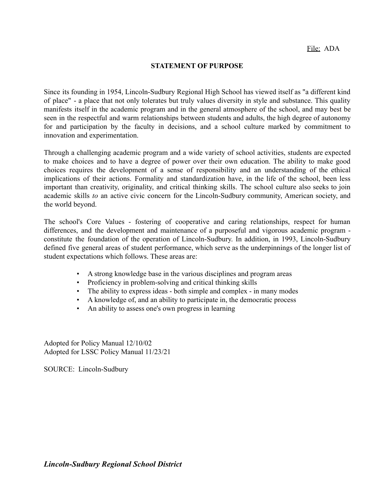### **STATEMENT OF PURPOSE**

Since its founding in 1954, Lincoln-Sudbury Regional High School has viewed itself as "a different kind of place" - a place that not only tolerates but truly values diversity in style and substance. This quality manifests itself in the academic program and in the general atmosphere of the school, and may best be seen in the respectful and warm relationships between students and adults, the high degree of autonomy for and participation by the faculty in decisions, and a school culture marked by commitment to innovation and experimentation.

Through a challenging academic program and a wide variety of school activities, students are expected to make choices and to have a degree of power over their own education. The ability to make good choices requires the development of a sense of responsibility and an understanding of the ethical implications of their actions. Formality and standardization have, in the life of the school, been less important than creativity, originality, and critical thinking skills. The school culture also seeks to join academic skills *to* an active civic concern for the Lincoln-Sudbury community, American society, and the world beyond.

The school's Core Values - fostering of cooperative and caring relationships, respect for human differences, and the development and maintenance of a purposeful and vigorous academic program constitute the foundation of the operation of Lincoln-Sudbury. In addition, in 1993, Lincoln-Sudbury defined five general areas of student performance, which serve as the underpinnings of the longer list of student expectations which follows. These areas are:

- A strong knowledge base in the various disciplines and program areas
- Proficiency in problem-solving and critical thinking skills
- The ability to express ideas both simple and complex in many modes
- A knowledge of, and an ability to participate in, the democratic process
- An ability to assess one's own progress in learning

Adopted for Policy Manual 12/10/02 Adopted for LSSC Policy Manual 11/23/21

SOURCE: Lincoln-Sudbury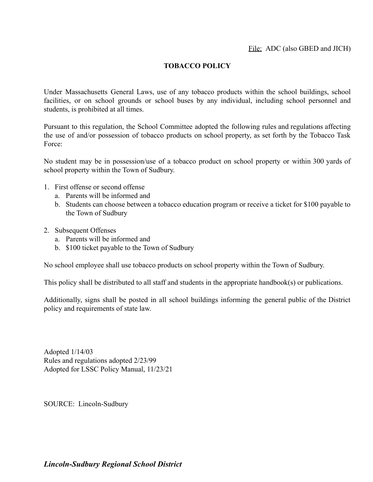### **TOBACCO POLICY**

Under Massachusetts General Laws, use of any tobacco products within the school buildings, school facilities, or on school grounds or school buses by any individual, including school personnel and students, is prohibited at all times.

Pursuant to this regulation, the School Committee adopted the following rules and regulations affecting the use of and/or possession of tobacco products on school property, as set forth by the Tobacco Task Force:

No student may be in possession/use of a tobacco product on school property or within 300 yards of school property within the Town of Sudbury.

- 1. First offense or second offense
	- a. Parents will be informed and
	- b. Students can choose between a tobacco education program or receive a ticket for \$100 payable to the Town of Sudbury
- 2. Subsequent Offenses
	- a. Parents will be informed and
	- b. \$100 ticket payable to the Town of Sudbury

No school employee shall use tobacco products on school property within the Town of Sudbury.

This policy shall be distributed to all staff and students in the appropriate handbook(s) or publications.

Additionally, signs shall be posted in all school buildings informing the general public of the District policy and requirements of state law.

Adopted 1/14/03 Rules and regulations adopted 2/23/99 Adopted for LSSC Policy Manual, 11/23/21

SOURCE: Lincoln-Sudbury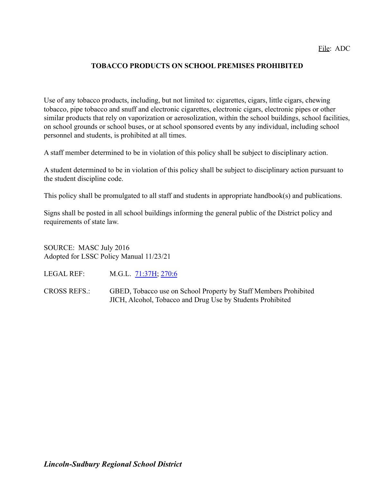### **TOBACCO PRODUCTS ON SCHOOL PREMISES PROHIBITED**

Use of any tobacco products, including, but not limited to: cigarettes, cigars, little cigars, chewing tobacco, pipe tobacco and snuff and electronic cigarettes, electronic cigars, electronic pipes or other similar products that rely on vaporization or aerosolization, within the school buildings, school facilities, on school grounds or school buses, or at school sponsored events by any individual, including school personnel and students, is prohibited at all times.

A staff member determined to be in violation of this policy shall be subject to disciplinary action.

A student determined to be in violation of this policy shall be subject to disciplinary action pursuant to the student discipline code.

This policy shall be promulgated to all staff and students in appropriate handbook(s) and publications.

Signs shall be posted in all school buildings informing the general public of the District policy and requirements of state law.

SOURCE: MASC July 2016 Adopted for LSSC Policy Manual 11/23/21

LEGAL REF: M.G.L. [71:37H;](http://www.malegislature.gov/Laws/GeneralLaws/PartI/TitleII/Chapter71/Section37h) [270:6](https://malegislature.gov/Laws/GeneralLaws/PartIV/TitleI/Chapter270/section6)

CROSS REFS.: GBED, Tobacco use on School Property by Staff Members Prohibited JICH, Alcohol, Tobacco and Drug Use by Students Prohibited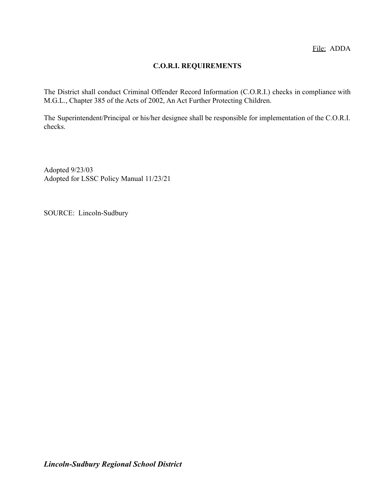## **C.O.R.I. REQUIREMENTS**

The District shall conduct Criminal Offender Record Information (C.O.R.I.) checks in compliance with M.G.L., Chapter 385 of the Acts of 2002, An Act Further Protecting Children.

The Superintendent/Principal or his/her designee shall be responsible for implementation of the C.O.R.I. checks.

Adopted 9/23/03 Adopted for LSSC Policy Manual 11/23/21

SOURCE: Lincoln-Sudbury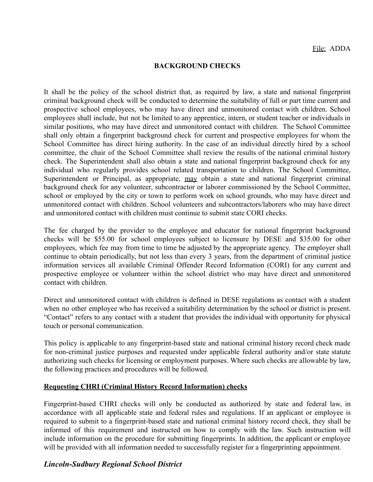### **BACKGROUND CHECKS**

It shall be the policy of the school district that, as required by law, a state and national fingerprint criminal background check will be conducted to determine the suitability of full or part time current and prospective school employees, who may have direct and unmonitored contact with children. School employees shall include, but not be limited to any apprentice, intern, or student teacher or individuals in similar positions, who may have direct and unmonitored contact with children. The School Committee shall only obtain a fingerprint background check for current and prospective employees for whom the School Committee has direct hiring authority. In the case of an individual directly hired by a school committee, the chair of the School Committee shall review the results of the national criminal history check. The Superintendent shall also obtain a state and national fingerprint background check for any individual who regularly provides school related transportation to children. The School Committee, Superintendent or Principal, as appropriate, may obtain a state and national fingerprint criminal background check for any volunteer, subcontractor or laborer commissioned by the School Committee, school or employed by the city or town to perform work on school grounds, who may have direct and unmonitored contact with children. School volunteers and subcontractors/laborers who may have direct and unmonitored contact with children must continue to submit state CORI checks.

The fee charged by the provider to the employee and educator for national fingerprint background checks will be \$55.00 for school employees subject to licensure by DESE and \$35.00 for other employees, which fee may from time to time be adjusted by the appropriate agency. The employer shall continue to obtain periodically, but not less than every 3 years, from the department of criminal justice information services all available Criminal Offender Record Information (CORI) for any current and prospective employee or volunteer within the school district who may have direct and unmonitored contact with children.

Direct and unmonitored contact with children is defined in DESE regulations as contact with a student when no other employee who has received a suitability determination by the school or district is present. "Contact" refers to any contact with a student that provides the individual with opportunity for physical touch or personal communication.

This policy is applicable to any fingerprint-based state and national criminal history record check made for non-criminal justice purposes and requested under applicable federal authority and/or state statute authorizing such checks for licensing or employment purposes. Where such checks are allowable by law, the following practices and procedures will be followed.

#### **Requesting CHRI (Criminal History Record Information) checks**

Fingerprint-based CHRI checks will only be conducted as authorized by state and federal law, in accordance with all applicable state and federal rules and regulations. If an applicant or employee is required to submit to a fingerprint-based state and national criminal history record check, they shall be informed of this requirement and instructed on how to comply with the law. Such instruction will include information on the procedure for submitting fingerprints. In addition, the applicant or employee will be provided with all information needed to successfully register for a fingerprinting appointment.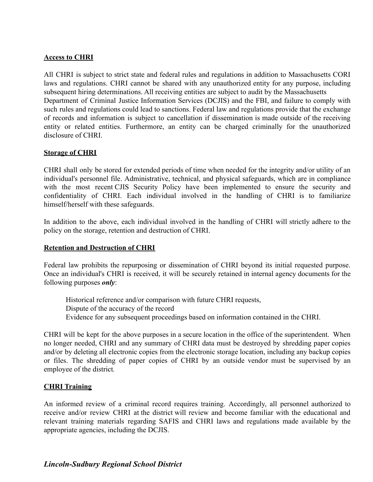## **Access to CHRI**

All CHRI is subject to strict state and federal rules and regulations in addition to Massachusetts CORI laws and regulations. CHRI cannot be shared with any unauthorized entity for any purpose, including subsequent hiring determinations. All receiving entities are subject to audit by the Massachusetts Department of Criminal Justice Information Services (DCJIS) and the FBI, and failure to comply with such rules and regulations could lead to sanctions. Federal law and regulations provide that the exchange of records and information is subject to cancellation if dissemination is made outside of the receiving entity or related entities. Furthermore, an entity can be charged criminally for the unauthorized disclosure of CHRI.

## **Storage of CHRI**

CHRI shall only be stored for extended periods of time when needed for the integrity and/or utility of an individual's personnel file. Administrative, technical, and physical safeguards, which are in compliance with the most recent CJIS Security Policy have been implemented to ensure the security and confidentiality of CHRI. Each individual involved in the handling of CHRI is to familiarize himself/herself with these safeguards.

In addition to the above, each individual involved in the handling of CHRI will strictly adhere to the policy on the storage, retention and destruction of CHRI.

#### **Retention and Destruction of CHRI**

Federal law prohibits the repurposing or dissemination of CHRI beyond its initial requested purpose. Once an individual's CHRI is received, it will be securely retained in internal agency documents for the following purposes *only*:

Historical reference and/or comparison with future CHRI requests, Dispute of the accuracy of the record Evidence for any subsequent proceedings based on information contained in the CHRI.

CHRI will be kept for the above purposes in a secure location in the office of the superintendent. When no longer needed, CHRI and any summary of CHRI data must be destroyed by shredding paper copies and/or by deleting all electronic copies from the electronic storage location, including any backup copies or files. The shredding of paper copies of CHRI by an outside vendor must be supervised by an employee of the district*.*

## **CHRI Training**

An informed review of a criminal record requires training. Accordingly, all personnel authorized to receive and/or review CHRI at the district will review and become familiar with the educational and relevant training materials regarding SAFIS and CHRI laws and regulations made available by the appropriate agencies, including the DCJIS.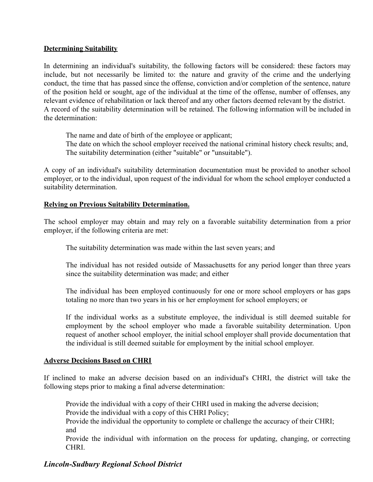## **Determining Suitability**

In determining an individual's suitability, the following factors will be considered: these factors may include, but not necessarily be limited to: the nature and gravity of the crime and the underlying conduct, the time that has passed since the offense, conviction and/or completion of the sentence, nature of the position held or sought, age of the individual at the time of the offense, number of offenses, any relevant evidence of rehabilitation or lack thereof and any other factors deemed relevant by the district. A record of the suitability determination will be retained. The following information will be included in the determination:

The name and date of birth of the employee or applicant;

The date on which the school employer received the national criminal history check results; and, The suitability determination (either "suitable" or "unsuitable").

A copy of an individual's suitability determination documentation must be provided to another school employer, or to the individual, upon request of the individual for whom the school employer conducted a suitability determination.

## **Relying on Previous Suitability Determination.**

The school employer may obtain and may rely on a favorable suitability determination from a prior employer, if the following criteria are met:

The suitability determination was made within the last seven years; and

The individual has not resided outside of Massachusetts for any period longer than three years since the suitability determination was made; and either

The individual has been employed continuously for one or more school employers or has gaps totaling no more than two years in his or her employment for school employers; or

If the individual works as a substitute employee, the individual is still deemed suitable for employment by the school employer who made a favorable suitability determination. Upon request of another school employer, the initial school employer shall provide documentation that the individual is still deemed suitable for employment by the initial school employer.

## **Adverse Decisions Based on CHRI**

If inclined to make an adverse decision based on an individual's CHRI, the district will take the following steps prior to making a final adverse determination:

Provide the individual with a copy of their CHRI used in making the adverse decision;

Provide the individual with a copy of this CHRI Policy;

Provide the individual the opportunity to complete or challenge the accuracy of their CHRI; and

Provide the individual with information on the process for updating, changing, or correcting **CHRI**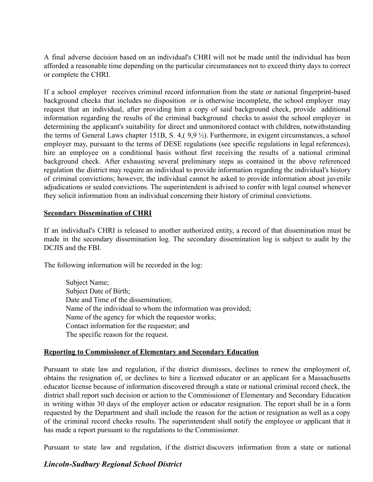A final adverse decision based on an individual's CHRI will not be made until the individual has been afforded a reasonable time depending on the particular circumstances not to exceed thirty days to correct or complete the CHRI.

If a school employer receives criminal record information from the state or national fingerprint-based background checks that includes no disposition or is otherwise incomplete, the school employer may request that an individual, after providing him a copy of said background check, provide additional information regarding the results of the criminal background checks to assist the school employer in determining the applicant's suitability for direct and unmonitored contact with children, notwithstanding the terms of General Laws chapter 151B, S. 4,( 9,9 ½). Furthermore, in exigent circumstances, a school employer may, pursuant to the terms of DESE regulations (see specific regulations in legal references), hire an employee on a conditional basis without first receiving the results of a national criminal background check. After exhausting several preliminary steps as contained in the above referenced regulation the district may require an individual to provide information regarding the individual's history of criminal convictions; however, the individual cannot be asked to provide information about juvenile adjudications or sealed convictions. The superintendent is advised to confer with legal counsel whenever they solicit information from an individual concerning their history of criminal convictions.

#### **Secondary Dissemination of CHRI**

If an individual's CHRI is released to another authorized entity, a record of that dissemination must be made in the secondary dissemination log. The secondary dissemination log is subject to audit by the DCJIS and the FBI.

The following information will be recorded in the log:

Subject Name; Subject Date of Birth; Date and Time of the dissemination; Name of the individual to whom the information was provided; Name of the agency for which the requestor works; Contact information for the requestor; and The specific reason for the request.

## **Reporting to Commissioner of Elementary and Secondary Education**

Pursuant to state law and regulation, if the district dismisses, declines to renew the employment of, obtains the resignation of, or declines to hire a licensed educator or an applicant for a Massachusetts educator license because of information discovered through a state or national criminal record check, the district shall report such decision or action to the Commissioner of Elementary and Secondary Education in writing within 30 days of the employer action or educator resignation. The report shall be in a form requested by the Department and shall include the reason for the action or resignation as well as a copy of the criminal record checks results. The superintendent shall notify the employee or applicant that it has made a report pursuant to the regulations to the Commissioner.

Pursuant to state law and regulation, if the district discovers information from a state or national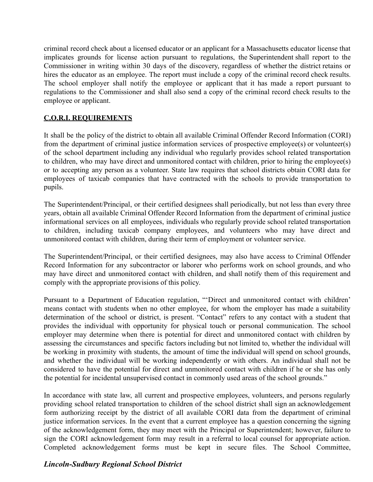criminal record check about a licensed educator or an applicant for a Massachusetts educator license that implicates grounds for license action pursuant to regulations, the Superintendent shall report to the Commissioner in writing within 30 days of the discovery, regardless of whether the district retains or hires the educator as an employee. The report must include a copy of the criminal record check results. The school employer shall notify the employee or applicant that it has made a report pursuant to regulations to the Commissioner and shall also send a copy of the criminal record check results to the employee or applicant.

## **C.O.R.I. REQUIREMENTS**

It shall be the policy of the district to obtain all available Criminal Offender Record Information (CORI) from the department of criminal justice information services of prospective employee(s) or volunteer(s) of the school department including any individual who regularly provides school related transportation to children, who may have direct and unmonitored contact with children, prior to hiring the employee(s) or to accepting any person as a volunteer. State law requires that school districts obtain CORI data for employees of taxicab companies that have contracted with the schools to provide transportation to pupils.

The Superintendent/Principal, or their certified designees shall periodically, but not less than every three years, obtain all available Criminal Offender Record Information from the department of criminal justice informational services on all employees, individuals who regularly provide school related transportation to children, including taxicab company employees, and volunteers who may have direct and unmonitored contact with children, during their term of employment or volunteer service.

The Superintendent/Principal, or their certified designees, may also have access to Criminal Offender Record Information for any subcontractor or laborer who performs work on school grounds, and who may have direct and unmonitored contact with children, and shall notify them of this requirement and comply with the appropriate provisions of this policy.

Pursuant to a Department of Education regulation, "'Direct and unmonitored contact with children' means contact with students when no other employee, for whom the employer has made a suitability determination of the school or district, is present. "Contact" refers to any contact with a student that provides the individual with opportunity for physical touch or personal communication. The school employer may determine when there is potential for direct and unmonitored contact with children by assessing the circumstances and specific factors including but not limited to, whether the individual will be working in proximity with students, the amount of time the individual will spend on school grounds, and whether the individual will be working independently or with others. An individual shall not be considered to have the potential for direct and unmonitored contact with children if he or she has only the potential for incidental unsupervised contact in commonly used areas of the school grounds."

In accordance with state law, all current and prospective employees, volunteers, and persons regularly providing school related transportation to children of the school district shall sign an acknowledgement form authorizing receipt by the district of all available CORI data from the department of criminal justice information services. In the event that a current employee has a question concerning the signing of the acknowledgement form, they may meet with the Principal or Superintendent; however, failure to sign the CORI acknowledgement form may result in a referral to local counsel for appropriate action. Completed acknowledgement forms must be kept in secure files. The School Committee,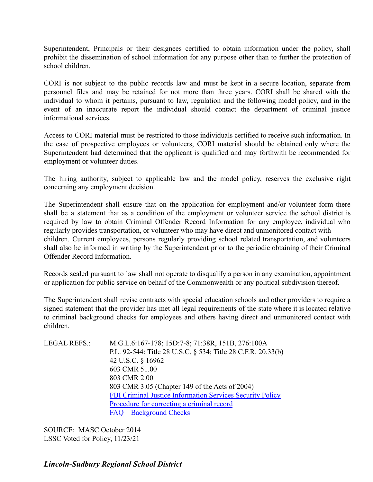Superintendent, Principals or their designees certified to obtain information under the policy, shall prohibit the dissemination of school information for any purpose other than to further the protection of school children.

CORI is not subject to the public records law and must be kept in a secure location, separate from personnel files and may be retained for not more than three years. CORI shall be shared with the individual to whom it pertains, pursuant to law, regulation and the following model policy, and in the event of an inaccurate report the individual should contact the department of criminal justice informational services.

Access to CORI material must be restricted to those individuals certified to receive such information. In the case of prospective employees or volunteers, CORI material should be obtained only where the Superintendent had determined that the applicant is qualified and may forthwith be recommended for employment or volunteer duties.

The hiring authority, subject to applicable law and the model policy, reserves the exclusive right concerning any employment decision.

The Superintendent shall ensure that on the application for employment and/or volunteer form there shall be a statement that as a condition of the employment or volunteer service the school district is required by law to obtain Criminal Offender Record Information for any employee, individual who regularly provides transportation, or volunteer who may have direct and unmonitored contact with children. Current employees, persons regularly providing school related transportation, and volunteers shall also be informed in writing by the Superintendent prior to the periodic obtaining of their Criminal Offender Record Information.

Records sealed pursuant to law shall not operate to disqualify a person in any examination, appointment or application for public service on behalf of the Commonwealth or any political subdivision thereof.

The Superintendent shall revise contracts with special education schools and other providers to require a signed statement that the provider has met all legal requirements of the state where it is located relative to criminal background checks for employees and others having direct and unmonitored contact with children.

| P.L. 92-544; Title 28 U.S.C. § 534; Title 28 C.F.R. 20.33(b)     |
|------------------------------------------------------------------|
|                                                                  |
|                                                                  |
|                                                                  |
|                                                                  |
| <b>FBI Criminal Justice Information Services Security Policy</b> |
|                                                                  |
|                                                                  |
|                                                                  |

SOURCE: MASC October 2014 LSSC Voted for Policy, 11/23/21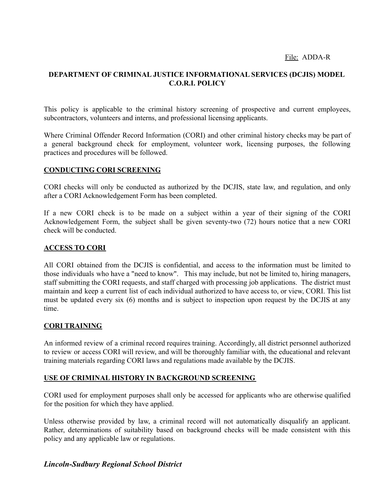## File: ADDA-R

## **DEPARTMENT OF CRIMINAL JUSTICE INFORMATIONAL SERVICES (DCJIS) MODEL C.O.R.I. POLICY**

This policy is applicable to the criminal history screening of prospective and current employees, subcontractors, volunteers and interns, and professional licensing applicants.

Where Criminal Offender Record Information (CORI) and other criminal history checks may be part of a general background check for employment, volunteer work, licensing purposes, the following practices and procedures will be followed.

#### **CONDUCTING CORI SCREENING**

CORI checks will only be conducted as authorized by the DCJIS, state law, and regulation, and only after a CORI Acknowledgement Form has been completed.

If a new CORI check is to be made on a subject within a year of their signing of the CORI Acknowledgement Form, the subject shall be given seventy-two (72) hours notice that a new CORI check will be conducted.

#### **ACCESS TO CORI**

All CORI obtained from the DCJIS is confidential, and access to the information must be limited to those individuals who have a "need to know". This may include, but not be limited to, hiring managers, staff submitting the CORI requests, and staff charged with processing job applications. The district must maintain and keep a current list of each individual authorized to have access to, or view, CORI. This list must be updated every six (6) months and is subject to inspection upon request by the DCJIS at any time.

#### **CORI TRAINING**

An informed review of a criminal record requires training. Accordingly, all district personnel authorized to review or access CORI will review, and will be thoroughly familiar with, the educational and relevant training materials regarding CORI laws and regulations made available by the DCJIS.

#### **USE OF CRIMINAL HISTORY IN BACKGROUND SCREENING**

CORI used for employment purposes shall only be accessed for applicants who are otherwise qualified for the position for which they have applied.

Unless otherwise provided by law, a criminal record will not automatically disqualify an applicant. Rather, determinations of suitability based on background checks will be made consistent with this policy and any applicable law or regulations.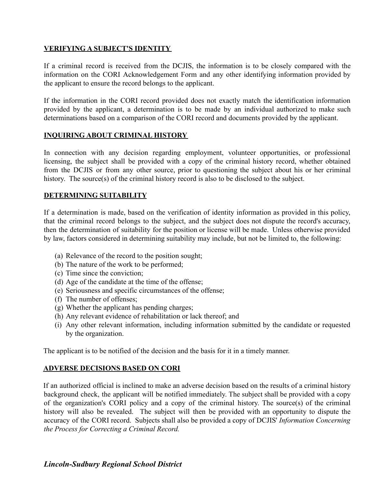## **VERIFYING A SUBJECT'S IDENTITY**

If a criminal record is received from the DCJIS, the information is to be closely compared with the information on the CORI Acknowledgement Form and any other identifying information provided by the applicant to ensure the record belongs to the applicant.

If the information in the CORI record provided does not exactly match the identification information provided by the applicant, a determination is to be made by an individual authorized to make such determinations based on a comparison of the CORI record and documents provided by the applicant.

## **INQUIRING ABOUT CRIMINAL HISTORY**

In connection with any decision regarding employment, volunteer opportunities, or professional licensing, the subject shall be provided with a copy of the criminal history record, whether obtained from the DCJIS or from any other source, prior to questioning the subject about his or her criminal history. The source(s) of the criminal history record is also to be disclosed to the subject.

## **DETERMINING SUITABILITY**

If a determination is made, based on the verification of identity information as provided in this policy, that the criminal record belongs to the subject, and the subject does not dispute the record's accuracy, then the determination of suitability for the position or license will be made. Unless otherwise provided by law, factors considered in determining suitability may include, but not be limited to, the following:

- (a) Relevance of the record to the position sought;
- (b) The nature of the work to be performed;
- (c) Time since the conviction;
- (d) Age of the candidate at the time of the offense;
- (e) Seriousness and specific circumstances of the offense;
- (f) The number of offenses;
- (g) Whether the applicant has pending charges;
- (h) Any relevant evidence of rehabilitation or lack thereof; and
- (i) Any other relevant information, including information submitted by the candidate or requested by the organization.

The applicant is to be notified of the decision and the basis for it in a timely manner.

## **ADVERSE DECISIONS BASED ON CORI**

If an authorized official is inclined to make an adverse decision based on the results of a criminal history background check, the applicant will be notified immediately. The subject shall be provided with a copy of the organization's CORI policy and a copy of the criminal history. The source(s) of the criminal history will also be revealed. The subject will then be provided with an opportunity to dispute the accuracy of the CORI record. Subjects shall also be provided a copy of DCJIS' *Information Concerning the Process for Correcting a Criminal Record.*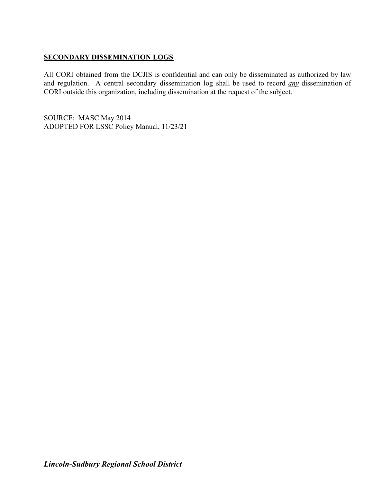## **SECONDARY DISSEMINATION LOGS**

All CORI obtained from the DCJIS is confidential and can only be disseminated as authorized by law and regulation. A central secondary dissemination log shall be used to record *any* dissemination of CORI outside this organization, including dissemination at the request of the subject.

SOURCE: MASC May 2014 ADOPTED FOR LSSC Policy Manual, 11/23/21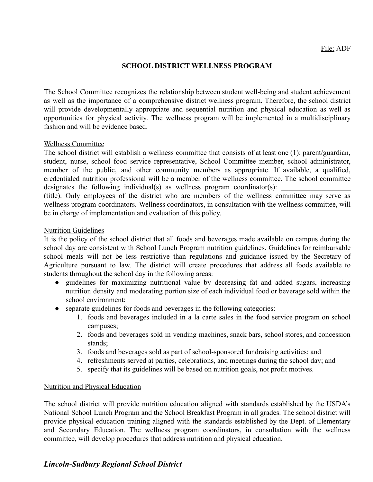### **SCHOOL DISTRICT WELLNESS PROGRAM**

The School Committee recognizes the relationship between student well-being and student achievement as well as the importance of a comprehensive district wellness program. Therefore, the school district will provide developmentally appropriate and sequential nutrition and physical education as well as opportunities for physical activity. The wellness program will be implemented in a multidisciplinary fashion and will be evidence based.

#### Wellness Committee

The school district will establish a wellness committee that consists of at least one (1): parent/guardian, student, nurse, school food service representative, School Committee member, school administrator, member of the public, and other community members as appropriate. If available, a qualified, credentialed nutrition professional will be a member of the wellness committee. The school committee designates the following individual(s) as wellness program coordinator(s):

(title). Only employees of the district who are members of the wellness committee may serve as wellness program coordinators. Wellness coordinators, in consultation with the wellness committee, will be in charge of implementation and evaluation of this policy.

### Nutrition Guidelines

It is the policy of the school district that all foods and beverages made available on campus during the school day are consistent with School Lunch Program nutrition guidelines. Guidelines for reimbursable school meals will not be less restrictive than regulations and guidance issued by the Secretary of Agriculture pursuant to law. The district will create procedures that address all foods available to students throughout the school day in the following areas:

- guidelines for maximizing nutritional value by decreasing fat and added sugars, increasing nutrition density and moderating portion size of each individual food or beverage sold within the school environment;
- separate guidelines for foods and beverages in the following categories:
	- 1. foods and beverages included in a la carte sales in the food service program on school campuses;
	- 2. foods and beverages sold in vending machines, snack bars, school stores, and concession stands;
	- 3. foods and beverages sold as part of school-sponsored fundraising activities; and
	- 4. refreshments served at parties, celebrations, and meetings during the school day; and
	- 5. specify that its guidelines will be based on nutrition goals, not profit motives.

#### Nutrition and Physical Education

The school district will provide nutrition education aligned with standards established by the USDA's National School Lunch Program and the School Breakfast Program in all grades. The school district will provide physical education training aligned with the standards established by the Dept. of Elementary and Secondary Education. The wellness program coordinators, in consultation with the wellness committee, will develop procedures that address nutrition and physical education.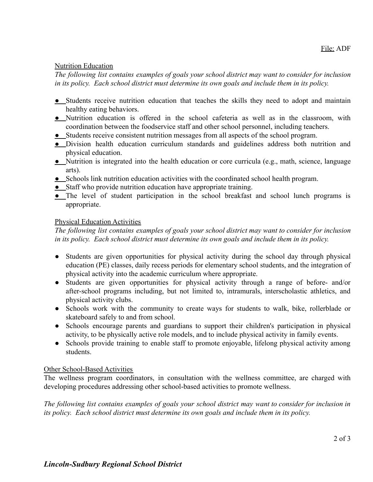### Nutrition Education

*The following list contains examples of goals your school district may want to consider for inclusion in its policy. Each school district must determine its own goals and include them in its policy.*

- *●* Students receive nutrition education that teaches the skills they need to adopt and maintain healthy eating behaviors.
- *●* Nutrition education is offered in the school cafeteria as well as in the classroom, with coordination between the foodservice staff and other school personnel, including teachers.
- *●* Students receive consistent nutrition messages from all aspects of the school program.
- *●* Division health education curriculum standards and guidelines address both nutrition and physical education.
- *●* Nutrition is integrated into the health education or core curricula (e.g., math, science, language arts).
- *●* Schools link nutrition education activities with the coordinated school health program.
- *●* Staff who provide nutrition education have appropriate training.
- *●* The level of student participation in the school breakfast and school lunch programs is appropriate.

## Physical Education Activities

*The following list contains examples of goals your school district may want to consider for inclusion in its policy. Each school district must determine its own goals and include them in its policy.*

- Students are given opportunities for physical activity during the school day through physical education (PE) classes, daily recess periods for elementary school students, and the integration of physical activity into the academic curriculum where appropriate.
- Students are given opportunities for physical activity through a range of before- and/or after-school programs including, but not limited to, intramurals, interscholastic athletics, and physical activity clubs.
- Schools work with the community to create ways for students to walk, bike, rollerblade or skateboard safely to and from school.
- Schools encourage parents and guardians to support their children's participation in physical activity, to be physically active role models, and to include physical activity in family events.
- Schools provide training to enable staff to promote enjoyable, lifelong physical activity among students.

## Other School-Based Activities

The wellness program coordinators, in consultation with the wellness committee, are charged with developing procedures addressing other school-based activities to promote wellness.

*The following list contains examples of goals your school district may want to consider for inclusion in its policy. Each school district must determine its own goals and include them in its policy.*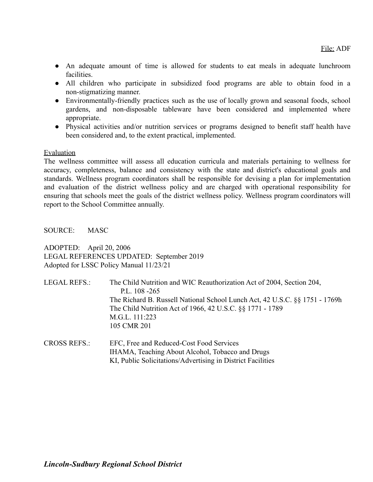- An adequate amount of time is allowed for students to eat meals in adequate lunchroom facilities.
- All children who participate in subsidized food programs are able to obtain food in a non-stigmatizing manner.
- Environmentally-friendly practices such as the use of locally grown and seasonal foods, school gardens, and non-disposable tableware have been considered and implemented where appropriate.
- Physical activities and/or nutrition services or programs designed to benefit staff health have been considered and, to the extent practical, implemented.

#### Evaluation

The wellness committee will assess all education curricula and materials pertaining to wellness for accuracy, completeness, balance and consistency with the state and district's educational goals and standards. Wellness program coordinators shall be responsible for devising a plan for implementation and evaluation of the district wellness policy and are charged with operational responsibility for ensuring that schools meet the goals of the district wellness policy. Wellness program coordinators will report to the School Committee annually.

SOURCE: MASC

ADOPTED: April 20, 2006 LEGAL REFERENCES UPDATED: September 2019 Adopted for LSSC Policy Manual 11/23/21

| LEGAL REFS.: | The Child Nutrition and WIC Reauthorization Act of 2004, Section 204,<br>P.L. $108 - 265$<br>The Richard B. Russell National School Lunch Act, 42 U.S.C. §§ 1751 - 1769h<br>The Child Nutrition Act of 1966, 42 U.S.C. §§ 1771 - 1789<br>M.G.L. 111:223<br>105 CMR 201 |
|--------------|------------------------------------------------------------------------------------------------------------------------------------------------------------------------------------------------------------------------------------------------------------------------|
| CROSSREFS    | EEC Free and Reduced-Cost Food Services                                                                                                                                                                                                                                |

CROSS REFS.: EFC, Free and Reduced-Cost Food Services IHAMA, Teaching About Alcohol, Tobacco and Drugs KI, Public Solicitations/Advertising in District Facilities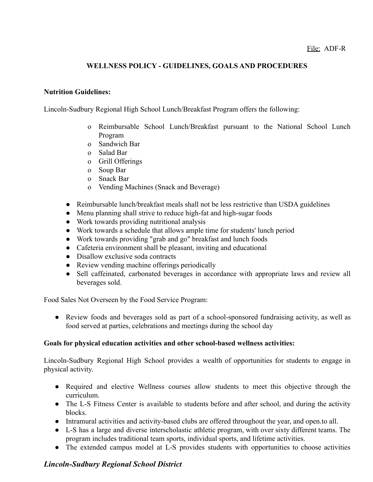## **WELLNESS POLICY - GUIDELINES, GOALS AND PROCEDURES**

## **Nutrition Guidelines:**

Lincoln-Sudbury Regional High School Lunch/Breakfast Program offers the following:

- o Reimbursable School Lunch/Breakfast pursuant to the National School Lunch Program
- o Sandwich Bar
- o Salad Bar
- o Grill Offerings
- o Soup Bar
- o Snack Bar
- o Vending Machines (Snack and Beverage)
- Reimbursable lunch/breakfast meals shall not be less restrictive than USDA guidelines
- Menu planning shall strive to reduce high-fat and high-sugar foods
- Work towards providing nutritional analysis
- Work towards a schedule that allows ample time for students' lunch period
- Work towards providing "grab and go" breakfast and lunch foods
- Cafeteria environment shall be pleasant, inviting and educational
- Disallow exclusive soda contracts
- Review vending machine offerings periodically
- Sell caffeinated, carbonated beverages in accordance with appropriate laws and review all beverages sold.

Food Sales Not Overseen by the Food Service Program:

● Review foods and beverages sold as part of a school-sponsored fundraising activity, as well as food served at parties, celebrations and meetings during the school day

## **Goals for physical education activities and other school-based wellness activities:**

Lincoln-Sudbury Regional High School provides a wealth of opportunities for students to engage in physical activity.

- Required and elective Wellness courses allow students to meet this objective through the curriculum.
- The L-S Fitness Center is available to students before and after school, and during the activity blocks.
- Intramural activities and activity-based clubs are offered throughout the year, and open.to all.
- L-S has a large and diverse interscholastic athletic program, with over sixty different teams. The program includes traditional team sports, individual sports, and lifetime activities.
- The extended campus model at L-S provides students with opportunities to choose activities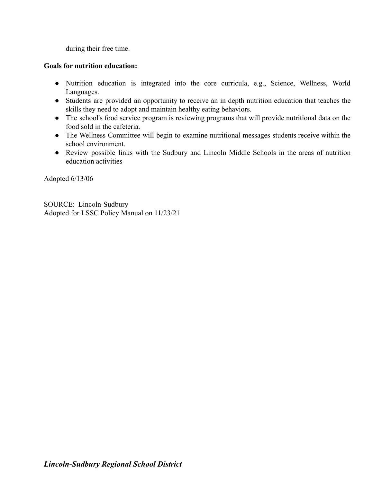during their free time.

## **Goals for nutrition education:**

- Nutrition education is integrated into the core curricula, e.g., Science, Wellness, World Languages.
- Students are provided an opportunity to receive an in depth nutrition education that teaches the skills they need to adopt and maintain healthy eating behaviors.
- The school's food service program is reviewing programs that will provide nutritional data on the food sold in the cafeteria.
- The Wellness Committee will begin to examine nutritional messages students receive within the school environment.
- Review possible links with the Sudbury and Lincoln Middle Schools in the areas of nutrition education activities

Adopted 6/13/06

SOURCE: Lincoln-Sudbury Adopted for LSSC Policy Manual on 11/23/21